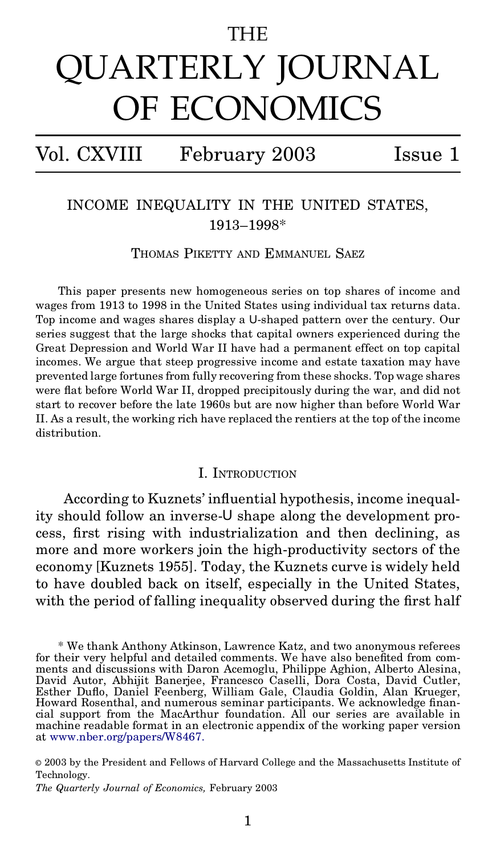## THE

# QUARTERLY JOURNAL OF ECONOMICS

# Vol. CXVIII February 2003 Issue 1

## INCOME INEQUALITY IN THE UNITED STATES, 1913–1998\*

THOMAS PIKETTY AND EMMANUEL SAEZ

This paper presents new homogeneous series on top shares of income and wages from 1913 to 1998 in the United States using individual tax returns data. Top income and wages shares display a U-shaped pattern over the century. Our series suggest that the large shocks that capital owners experienced during the Great Depression and World War II have had a permanent effect on top capital incomes. We argue that steep progressive income and estate taxation may have prevented large fortunes from fully recovering from these shocks. Top wage shares were flat before World War II, dropped precipitously during the war, and did not start to recover before the late 1960s but are now higher than before World War II. As a result, the working rich have replaced the rentiers at the top of the income distribution.

#### I. INTRODUCTION

According to Kuznets' influential hypothesis, income inequality should follow an inverse-U shape along the development process, first rising with industrialization and then declining, as more and more workers join the high-productivity sectors of the economy [Kuznets 1955]. Today, the Kuznets curve is widely held to have doubled back on itself, especially in the United States, with the period of falling inequality observed during the first half

\* We thank Anthony Atkinson, Lawrence Katz, and two anonymous referees ments and discussions with Daron Acemoglu, Philippe Aghion, Alberto Alesina, David Autor, Abhijit Banerjee, Francesco Caselli, Dora Costa, David Cutler, Esther Duflo, Daniel Feenberg, William Gale, Claudia Goldin, Alan Krueger,<br>Howard Rosenthal, and numerous seminar participants. We acknowledge financial support from the MacArthur foundation. All our series are available in machine readable format in an electronic appendix of the working paper version at [www.nber.org/papers/W8467.](http://www.nber.org/papers/W8467)

© 2003 by the President and Fellows of Harvard College and the Massachusetts Institute of Technology.

*The Quarterly Journal of Economics,* February 2003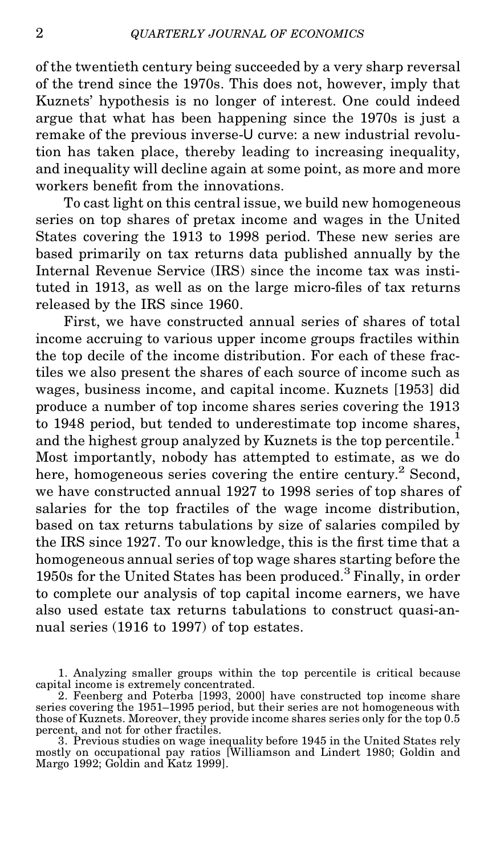of the twentieth century being succeeded by a very sharp reversal of the trend since the 1970s. This does not, however, imply that Kuznets' hypothesis is no longer of interest. One could indeed argue that what has been happening since the 1970s is just a remake of the previous inverse-U curve: a new industrial revolution has taken place, thereby leading to increasing inequality, and inequality will decline again at some point, as more and more workers benefit from the innovations.

To cast light on this central issue, we build new homogeneous series on top shares of pretax income and wages in the United States covering the 1913 to 1998 period. These new series are based primarily on tax returns data published annually by the Internal Revenue Service (IRS) since the income tax was instituted in 1913, as well as on the large micro-files of tax returns released by the IRS since 1960.

First, we have constructed annual series of shares of total income accruing to various upper income groups fractiles within the top decile of the income distribution. For each of these fractiles we also present the shares of each source of income such as wages, business income, and capital income. Kuznets [1953] did produce a number of top income shares series covering the 1913 to 1948 period, but tended to underestimate top income shares, and the highest group analyzed by Kuznets is the top percentile.<sup>1</sup> Most importantly, nobody has attempted to estimate, as we do here, homogeneous series covering the entire century.<sup>2</sup> Second, we have constructed annual 1927 to 1998 series of top shares of salaries for the top fractiles of the wage income distribution, based on tax returns tabulations by size of salaries compiled by the IRS since 1927. To our knowledge, this is the first time that a homogeneous annual series of top wage shares starting before the 1950s for the United States has been produced.<sup>3</sup> Finally, in order to complete our analysis of top capital income earners, we have also used estate tax returns tabulations to construct quasi-annual series (1916 to 1997) of top estates.

<sup>1.</sup> Analyzing smaller groups within the top percentile is critical because capital income is extremely concentrated.

<sup>2.</sup> Feenberg and Poterba [1993, 2000] have constructed top income share series covering the 1951–1995 period, but their series are not homogeneous with those of Kuznets. Moreover, they provide income shares series only for the top 0.5 percent, and not for other fractiles. 3. Previous studies on wage inequality before 1945 in the United States rely

mostly on occupational pay ratios [Williamson and Lindert 1980; Goldin and Margo 1992; Goldin and Katz 1999].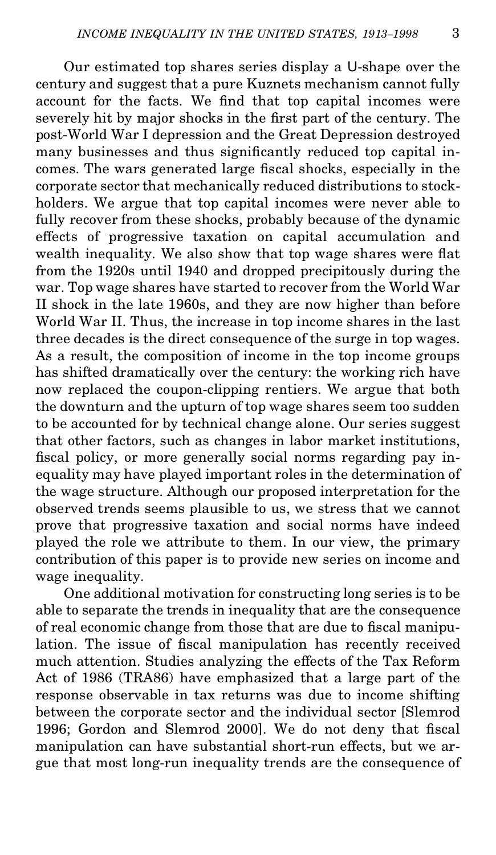Our estimated top shares series display a U-shape over the century and suggest that a pure Kuznets mechanism cannot fully account for the facts. We find that top capital incomes were severely hit by major shocks in the first part of the century. The post-World War I depression and the Great Depression destroyed many businesses and thus significantly reduced top capital incomes. The wars generated large fiscal shocks, especially in the corporate sector that mechanically reduced distributions to stockholders. We argue that top capital incomes were never able to fully recover from these shocks, probably because of the dynamic effects of progressive taxation on capital accumulation and wealth inequality. We also show that top wage shares were flat from the 1920s until 1940 and dropped precipitously during the war. Top wage shares have started to recover from the World War II shock in the late 1960s, and they are now higher than before World War II. Thus, the increase in top income shares in the last three decades is the direct consequence of the surge in top wages. As a result, the composition of income in the top income groups has shifted dramatically over the century: the working rich have now replaced the coupon-clipping rentiers. We argue that both the downturn and the upturn of top wage shares seem too sudden to be accounted for by technical change alone. Our series suggest that other factors, such as changes in labor market institutions, fiscal policy, or more generally social norms regarding pay inequality may have played important roles in the determination of the wage structure. Although our proposed interpretation for the observed trends seems plausible to us, we stress that we cannot prove that progressive taxation and social norms have indeed played the role we attribute to them. In our view, the primary contribution of this paper is to provide new series on income and wage inequality.

One additional motivation for constructing long series is to be able to separate the trends in inequality that are the consequence of real economic change from those that are due to fiscal manipulation. The issue of fiscal manipulation has recently received much attention. Studies analyzing the effects of the Tax Reform Act of 1986 (TRA86) have emphasized that a large part of the response observable in tax returns was due to income shifting between the corporate sector and the individual sector [Slemrod 1996; Gordon and Slemrod 2000]. We do not deny that fiscal manipulation can have substantial short-run effects, but we argue that most long-run inequality trends are the consequence of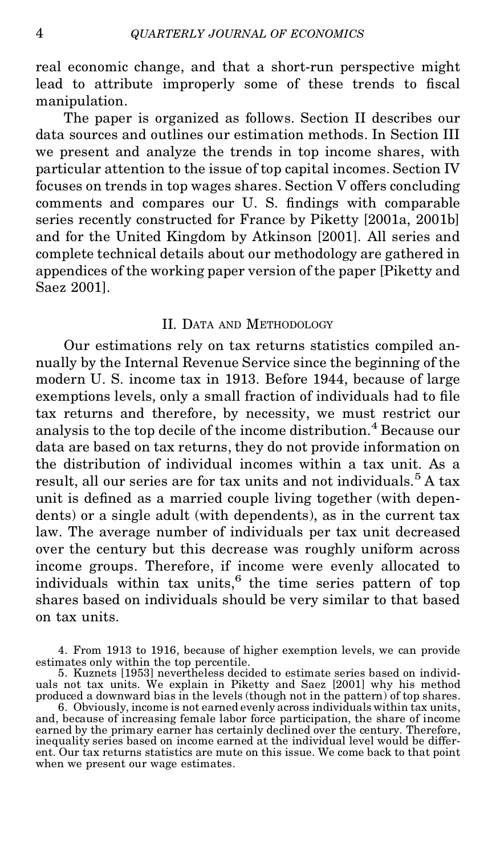real economic change, and that a short-run perspective might lead to attribute improperly some of these trends to fiscal manipulation.

The paper is organized as follows. Section II describes our data sources and outlines our estimation methods. In Section III we present and analyze the trends in top income shares, with particular attention to the issue of top capital incomes. Section IV focuses on trends in top wages shares. Section V offers concluding comments and compares our U.S. findings with comparable series recently constructed for France by Piketty [2001a, 2001b] and for the United Kingdom by Atkinson [2001]. All series and complete technical details about our methodology are gathered in appendices of the working paper version of the paper [Piketty and Saez 2001].

#### II. DATA AND METHODOLOGY

Our estimations rely on tax returns statistics compiled annually by the Internal Revenue Service since the beginning of the modern U. S. income tax in 1913. Before 1944, because of large exemptions levels, only a small fraction of individuals had to file tax returns and therefore, by necessity, we must restrict our analysis to the top decile of the income distribution.<sup>4</sup> Because our data are based on tax returns, they do not provide information on the distribution of individual incomes within a tax unit. As a result, all our series are for tax units and not individuals.<sup>5</sup> A tax unit is defined as a married couple living together (with dependents) or a single adult (with dependents), as in the current tax law. The average number of individuals per tax unit decreased over the century but this decrease was roughly uniform across income groups. Therefore, if income were evenly allocated to individuals within tax units, $6$  the time series pattern of top shares based on individuals should be very similar to that based on tax units.

4. From 1913 to 1916, because of higher exemption levels, we can provide estimates only within the top percentile.

<sup>5.</sup> Kuznets [1953] nevertheless decided to estimate series based on individuals not tax units. We explain in Piketty and Saez [2001] why his method produced a downward bias in the levels (though not in the pattern) of top shares. 6. Obviously, income is not earned evenly across individuals within tax units,

and, because of increasing female labor force participation, the share of income earned by the primary earner has certainly declined over the century. Therefore, inequality series based on income earned at the individual level would be different. Our tax returns statistics are mute on this issue. We come back to that point when we present our wage estimates.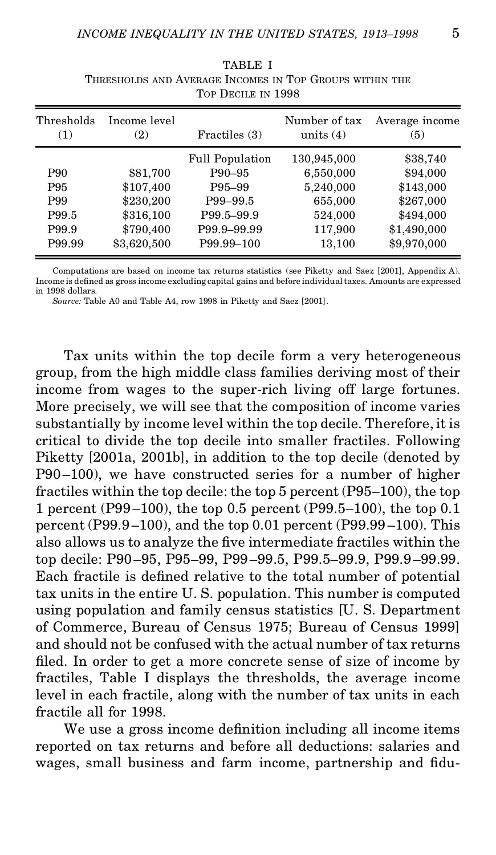| Thresholds<br>(1) | Income level<br>(2) | Fractiles (3)          | Number of tax<br>units $(4)$ | Average income<br>(5) |
|-------------------|---------------------|------------------------|------------------------------|-----------------------|
|                   |                     | <b>Full Population</b> | 130,945,000                  | \$38,740              |
| P90               | \$81,700            | P90-95                 | 6,550,000                    | \$94,000              |
| P95               | \$107,400           | P95-99                 | 5,240,000                    | \$143,000             |
| P99               | \$230,200           | P99-99.5               | 655,000                      | \$267,000             |
| P99.5             | \$316,100           | P99.5-99.9             | 524,000                      | \$494,000             |
| P99.9             | \$790,400           | P99.9-99.99            | 117,900                      | \$1,490,000           |
| P99.99            | \$3,620,500         | P99.99-100             | 13,100                       | \$9,970,000           |

TABLE I THRESHOLDS AND AVERAGE INCOMES IN TOP GROUPS WITHIN THE TOP DECILE IN 1998

Computations are based on income tax returns statistics (see Piketty and Saez [2001], Appendix A). Income is defined as gross income excluding capital gains and before individual taxes. Amounts are expressed in 1998 dollars.

*Source:* Table A0 and Table A4, row 1998 in Piketty and Saez [2001].

Tax units within the top decile form a very heterogeneous group, from the high middle class families deriving most of their income from wages to the super-rich living off large fortunes. More precisely, we will see that the composition of income varies substantially by income level within the top decile. Therefore, it is critical to divide the top decile into smaller fractiles. Following Piketty [2001a, 2001b], in addition to the top decile (denoted by P90–100), we have constructed series for a number of higher fractiles within the top decile: the top 5 percent (P95–100), the top 1 percent (P99–100), the top 0.5 percent (P99.5–100), the top 0.1 percent (P99.9–100), and the top 0.01 percent (P99.99 –100). This also allows us to analyze the five intermediate fractiles within the top decile: P90–95, P95–99, P99–99.5, P99.5–99.9, P99.9–99.99. Each fractile is defined relative to the total number of potential tax units in the entire U. S. population. This number is computed using population and family census statistics [U. S. Department of Commerce, Bureau of Census 1975; Bureau of Census 1999] and should not be confused with the actual number of tax returns filed. In order to get a more concrete sense of size of income by fractiles, Table I displays the thresholds, the average income level in each fractile, along with the number of tax units in each fractile all for 1998.

We use a gross income definition including all income items reported on tax returns and before all deductions: salaries and wages, small business and farm income, partnership and fidu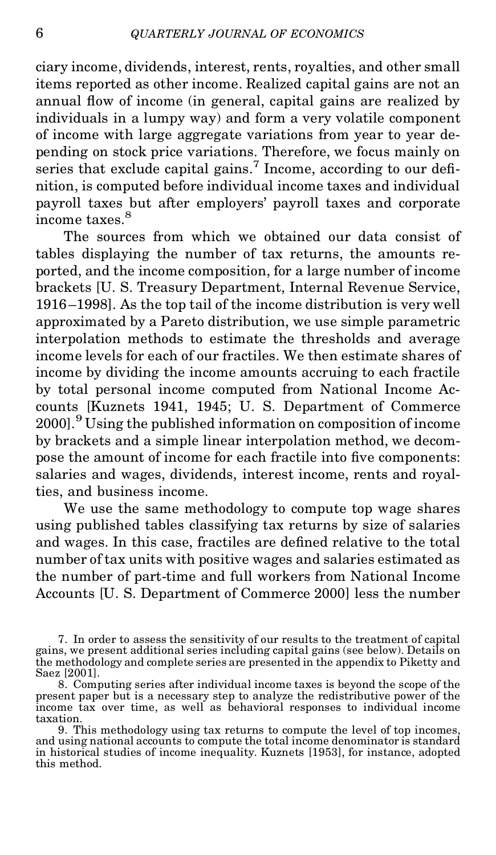ciary income, dividends, interest, rents, royalties, and other small items reported as other income. Realized capital gains are not an annual flow of income (in general, capital gains are realized by individuals in a lumpy way) and form a very volatile component of income with large aggregate variations from year to year depending on stock price variations. Therefore, we focus mainly on series that exclude capital gains.<sup>7</sup> Income, according to our definition, is computed before individual income taxes and individual payroll taxes but after employers' payroll taxes and corporate income taxes.<sup>8</sup>

The sources from which we obtained our data consist of tables displaying the number of tax returns, the amounts reported, and the income composition, for a large number of income brackets [U. S. Treasury Department, Internal Revenue Service, 1916 –1998]. As the top tail of the income distribution is very well approximated by a Pareto distribution, we use simple parametric interpolation methods to estimate the thresholds and average income levels for each of our fractiles. We then estimate shares of income by dividing the income amounts accruing to each fractile by total personal income computed from National Income Accounts [Kuznets 1941, 1945; U. S. Department of Commerce 2000].<sup>9</sup> Using the published information on composition of income by brackets and a simple linear interpolation method, we decompose the amount of income for each fractile into five components: salaries and wages, dividends, interest income, rents and royalties, and business income.

We use the same methodology to compute top wage shares using published tables classifying tax returns by size of salaries and wages. In this case, fractiles are defined relative to the total number of tax units with positive wages and salaries estimated as the number of part-time and full workers from National Income Accounts [U. S. Department of Commerce 2000] less the number

9. This methodology using tax returns to compute the level of top incomes, and using national accounts to compute the total income denominator is standard in historical studies of income inequality. Kuznets [1953], for instance, adopted this method.

<sup>7.</sup> In order to assess the sensitivity of our results to the treatment of capital gains, we present additional series including capital gains (see below). Details on the methodology and complete series are presented in the appendix to Piketty and Saez [2001].

<sup>8.</sup> Computing series after individual income taxes is beyond the scope of the present paper but is a necessary step to analyze the redistributive power of the income tax over time, as well as behavioral responses to individual income taxation.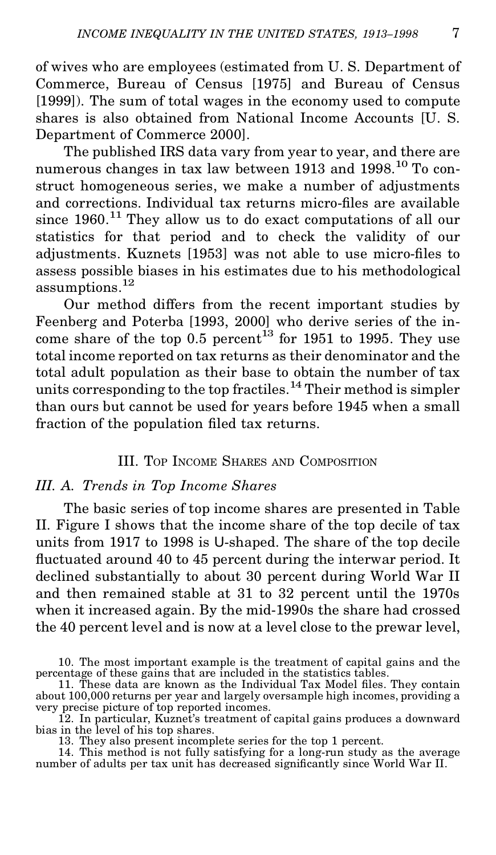of wives who are employees (estimated from U. S. Department of Commerce, Bureau of Census [1975] and Bureau of Census [1999]). The sum of total wages in the economy used to compute shares is also obtained from National Income Accounts [U. S. Department of Commerce 2000].

The published IRS data vary from year to year, and there are numerous changes in tax law between 1913 and 1998.<sup>10</sup> To construct homogeneous series, we make a number of adjustments and corrections. Individual tax returns micro-files are available since  $1960$ <sup>11</sup>. They allow us to do exact computations of all our statistics for that period and to check the validity of our adjustments. Kuznets [1953] was not able to use micro-files to assess possible biases in his estimates due to his methodological assumptions.<sup>12</sup>

Our method differs from the recent important studies by Feenberg and Poterba [1993, 2000] who derive series of the income share of the top 0.5 percent<sup>13</sup> for 1951 to 1995. They use total income reported on tax returns as their denominator and the total adult population as their base to obtain the number of tax units corresponding to the top fractiles.<sup>14</sup> Their method is simpler than ours but cannot be used for years before 1945 when a small fraction of the population filed tax returns.

#### III. TOP INCOME SHARES AND COMPOSITION

#### *III. A. Trends in Top Income Shares*

The basic series of top income shares are presented in Table II. Figure I shows that the income share of the top decile of tax units from 1917 to 1998 is U-shaped. The share of the top decile fluctuated around 40 to 45 percent during the interwar period. It declined substantially to about 30 percent during World War II and then remained stable at 31 to 32 percent until the 1970s when it increased again. By the mid-1990s the share had crossed the 40 percent level and is now ata level close to the prewar level,

<sup>10.</sup> The most important example is the treatment of capital gains and the percentage of these gains that are included in the statistics tables.

<sup>11.</sup> These data are known as the Individual Tax Model files. They contain about 100,000 returns per year and largely oversample high incomes, providing a very precise picture of top reported incomes.

<sup>12.</sup> In particular, Kuznet's treatment of capital gains produces a downward bias in the level of his top shares. 13. They also present incomplete series for the top 1 percent. 14. This method is not fully satisfying for a long-run study as the average

number of adults per tax unit has decreased signicantly since World War II.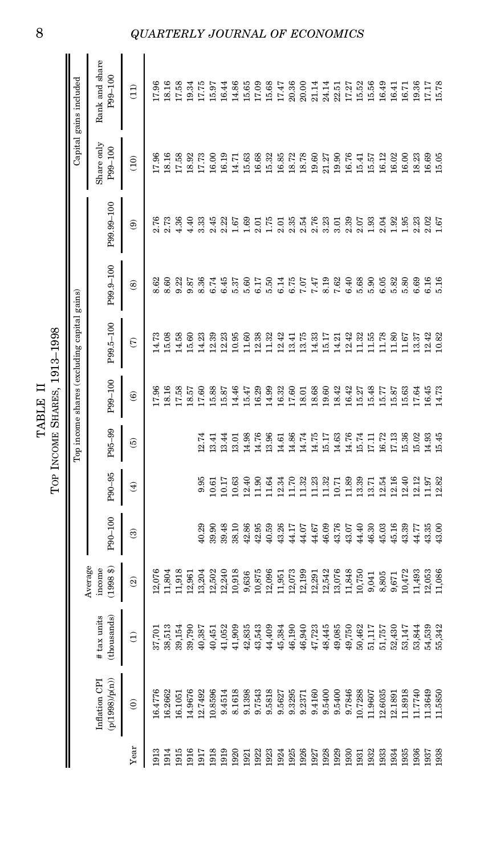|         | $1913 - 1$     |                              |
|---------|----------------|------------------------------|
| TABLE I | INCOME SHARES, | Top income shares (excluding |
|         |                |                              |

Share only Rank and share<br>P99–100 P99–100<br>(10) Rank (11) Capital gains included Top income shares (excluding capital gains) Capital gains included 18.16 17.96 17.58 19.34 17.75 15.97 16.44 14.86 15.65 17.09 15.68 17.47 20.36  $20.00$ 21.14 24.14 22.51 17.27 15.52 15.56 16.49 16.41 16.71 19.36 17.17<br>15.78 1913 16.4776 37,701 12,076<br>1914 16.2662 38,513 11,804 17.81 16.16 17.96 17.96 8.62 2.73 15.16 16.266<br>1914 16.2662 38,513 11,804 17.94 18.16 15.08 8.60 2.73 18.16 18.16 18.16<br>1915 17.96 17.96 17.96 17.96 17.97 17.97 17.97 1 1914 16.2662 38,513 11,804<br>1915 16.1051 39.154 11,918<br>17.58 17.58 17.58 17.58 11,918 11,918 17.58 14.58 14.58 14.36 14.36 17.58 17.58<br>17.58 17.58 17.58 11,918 11,918 11,918 17.58 14.58 14.58 14.36 14.36 17.58 1915 16.1051 16.1051 39,154 11,918<br>1916 14.9676 39,790 12,961 00: 10.57 18.57 15.60 3.87 4.40 18.92<br>19.32 19.93 19.94 12.951 12.951 00: 10:14 15.60 15.60 3.87 4.40 18.92 18.92<br>19.34 19.94 19.94 19.14 19.14 10.15 10.15 10. 1916 14.9676 39,790 12.961<br>1917 12.7492 40.387 13.204 40.29 9.95 12.74 17.60 14.23 8.36 3.38 17.75 17.75<br>17.75 17.79 40.387 13.204 40.29 10.74 17.60 14.23 8.36 3.38 17.75 17.75 17.75 1917 12.7492 40,387 13,204 40.29 9.95 12.74 17.60 14.23 8.36 3.33 17.73 17.75 1918 10.8596 40,451 12,502 39.90 10.61 13.41 15.88 12.39 6.74 2.45 16.00 15.97 1919 9.4514 41,052 12,240 39.48 10.17 13.44 15.87 12.23 6.45 2.22 16.19 16.44 1920 8.1618 41,909 10,918 38.10 10.63 13.01 14.46 10.95 5.37 1.67 14.71 14.86<br>1921 9.1398 42,835 9,636 42.86 12.40 14.98 15.47 11.60 5.60 1.69 15.63 15.63<br>15.65 1.68 1.685 9,636 42.86 12.40 14.98 15.47 11.60 5.60 1.69 15.6 1921 9.1398 42,835 9,636 42.86 12.40 14.98 15.47 11.60 5.60 1.69 15.63 15.65 1922 9.7543 43,543 10,875 42.95 11.90 14.76 16.29 12.38 6.17 2.01 16.68 17.09 1923 9.5818 44,409 12,096 40.59 11.64 13.96 14.99 11.32 5.50 1.75 15.32 15.68 1924 9.5627 45,384 11,951 43.26 12.34 14.61 16.32 12.42 6.14 2.01 16.85 17.47 1925 9.3295 46,190 12,073 44.17 11.70 14.86 17.60 13.41 6.75 2.35 18.72 20.36 1926 9.2371 46,940 12,199 44.07 11.32 14.74 18.01 13.75 7.07 2.54 18.78 20.00 1927 9.4160 47,723 12,291 44.67 11.23 14.75 18.68 14.33 7.47 2.76 19.60 21.14 1928 9.5400 48,445 12,542 46.09 11.32 15.17 19.60 15.17 8.19 3.23 21.27 24.14 1929 9.5400 49,085 13,076 43.76 10.71 14.63 18.42 14.21 7.62 3.01 19.90 22.51 1930 9.7846 49,750 11,848 43.07 11.89 14.76 16.42 12.42 6.40 2.39 16.76 17.27 1931 10.7288 50,462 10,750 44.40 13.39 15.74 15.27 11.32 5.68 2.07 15.41 15.52 1932 11.9607 51,117 9,041 46.30 13.71 17.11 15.48 11.55 5.90 1.93 15.57 15.56 1933 12.6035 51,757 8,805 45.03 12.54 16.72 15.77 11.78 6.05 2.04 16.12 16.49 1934 12.1891 52,430 9,671 45.16 12.16 17.13 15.87 11.80 5.82 1.92 16.02 16.41 1935 11.8918 53,147 10,472 43.39 12.40 15.36 15.63 11.67 5.80 1.95 16.00 16.00<br>1936 11.7740 53.844 11.493 44.77 12.12 15.02 17.64 13.37 6.69 2.23 18.23 18.23 19.86<br>19.86 11.7740 53.844 11.493 44.77 12.12 15.02 17.64 13.37 1936 11.7740 53,844 11,493 44.77 12.12 15.02 17.64 13.37 6.69 2.23 18.23 19.36 1937 11.3649 54,539 12,053 43.35 11.97 14.93 16.45 12.42 6.16 2.02 16.69 17.17 1938 11.5850 55,342 11,086 43.00 12.82 15.45 14.73 10.82 5.16 1.67 15.05 15.78 (1) (2) (3) (4) (5) (6) (8) (8) (9) (10) (11)  $16.00$  $7.96$ 18.16 17.58 18.92 17.73 16.19 14.71 15.63 16.68 15.32 16.85 18.72 18.78 19.60 21.27 19.90 16.76 15.41 15.57 16.12  $16.02$ 16.00 18.23  $16.69$ <br> $15.05$ P99.99-100 P90–100 P90–95 P95–99 P99–100 P99.5–100 P99.9–100 P99.99–100 2.76<br>2.73 1.36  $4.40$ 3.33 2.45  $2.22$ <br> $1.67$ <br> $1.69$ 2.35 2.54<br>2.76<br>3.23  $2.39$ <br> $2.53$ <br> $1.33$  $\odot$  $2.01$  $175$  $2.01$  $3.01$  $\frac{3}{1}$ ,  $\frac{3}{1}$ ,  $\frac{3}{5}$  $2.23$  $\frac{2.02}{1.67}$ P99.9-100 8.62 8.60 9.22 9.87 8.36 6.74 6.45 5.37 5.60 6.17 5.50 6.14 6.75 7.07 7.47 8.19 7.62 6.40 5.68  $5.90$  $6.05$ 5.82  $5.80$ 6.69 6.16  $5.16$  $\circledR$ P99.5-100 TOP INCOME SHARES, 1913–1998<br>Top income shares (excluding cap) 5.08 14.58  $15.60$ 14.23 12.39 12.23 12.38  $1.32$ <br> $2.42$ 13.75  $5.17$  $12.42$ 11.78 14.73 10.95  $1.60$  $13.41$ 14.33 14.21  $1.32$ <br> $1.55$ 11.80  $1.67$ 13.37  $12.42$ <br> $10.82$  $\widehat{c}$ P99-100 7.96 8.16 17.58 18.57  $[7.60]$ 15.88 15.87 14.46 15.47 16.29 14.99 16.32 17.60 18.01 18.68 19.60 18.42 16.42 15.27 5.48 15.77 5.87 15.63 17.64  $6.45$ 4.73  $\widehat{\mathbf{e}}$ P95-99 13.44 14.98 14.76 13.96 14.61 14.86 14.74 14.75  $5.17$ 14.63 14.76 15.74  $17.11$ 16.72 17.13 15.36 15.02 14.93 15.45 12.74  $13.41$ 13.01  $\widehat{5}$ P90-95 11.70 11.32  $1.89$ 13.39  $12.40$  $9.95$  $0.61$  $10.17$  $10.63$  $12.40$  $06.11$  $1.64$  $12.34$ 11.32  $1.23$ 10.71 13.71 12.54  $12.16$  $12.12$  $1.97$ 2.82  $\widehat{f}$ P90-100  $10.29$ 89.48 12.86 12.95  $10.59$ 14.17 14.07 16.09 13.76 14.40 16.30 15.03 89.90 8.10 13.26 14.67 13.07 15.16 13.39 14.77 13.35  $13.00$  $\widehat{c}$ Average income<br>(1998 \$)<br>(3) 10,918 12,199 12,542 13,076 11,848 2.076 1.804 .1.918 2,961 3,204 2.502 2,240 9,636 10,875 2,096 12,073  $12,291$ 10.750 0,472 1,493 1,951 8,805 2,053  $1,086$ 9,041 9,671 # tax units tax units (thousands) 38,513 41,052 41,909 43,543 44,409 46,940 18,445 49,085 50,462 51,117 53,147 39,154 39,790 10,387 42,835 45,384 46,190 47,723 19,750 52,430 451 51,757 53,844 54,539 55,342 37,70  $\widehat{E}$ Ination CPI (p(1998)/p(n)) 16.1051 9.4514 9.1398 9.7543 9.5818 9.3295 9.2371 9.4160 9.5400 9.7846 11.8918 11.3649 16.4776 16.2662 14.9676 12.7492 10.8596 8.1618 9.5627 9.5400 10.7288 11.9607 12.6035 12.1891 11.7740 11.5850  $\hat{e}$  $Y<sub>ear</sub>$  13 1914 1915 1916 1917 1918 1919 1920 1321 1922 1923 1924<br>1925 1926 1927<br>1928 1929 930<br>931<br>932 1933 1934 1935 1936 937<br>938

#### 8 *QUARTERLY JOURNAL OF ECONOMICS*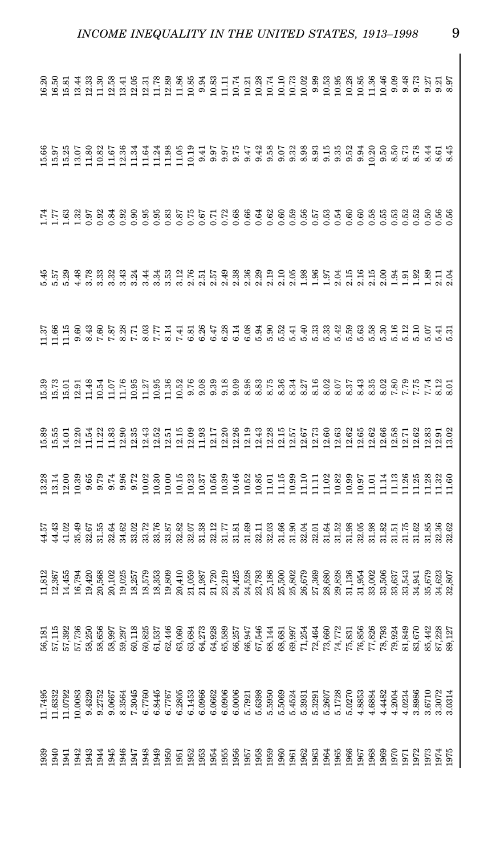| ri ra fe ge en 18 personal de la conservación de la conservación de la conservación de la conservación de la c<br>11 de la conservación de la conservación de la conservación de la conservación de la conservación de la conser<br>               |  |  |  |  |  |  |  |  |  |  |  |  |  |  |  |  |  |  |
|----------------------------------------------------------------------------------------------------------------------------------------------------------------------------------------------------------------------------------------------------|--|--|--|--|--|--|--|--|--|--|--|--|--|--|--|--|--|--|
| $\begin{array}{l} 56\,171.52\\ 57.172.53\\ 58.56\,58.58\\ 59.57\,80\,66\,66\,66\,67\\ 50\,75.58\,66\,66\,67\\ 50\,75.58\,66\,66\,67\\ 50\,75.58\,66\,66\,67\\ 50\,75.58\,66\,67\\ 50\,75.58\,66\,67\\ 50\,75.58\,66\,67\\ 50\,75.58\,66\,67\\ 50\$ |  |  |  |  |  |  |  |  |  |  |  |  |  |  |  |  |  |  |
|                                                                                                                                                                                                                                                    |  |  |  |  |  |  |  |  |  |  |  |  |  |  |  |  |  |  |
|                                                                                                                                                                                                                                                    |  |  |  |  |  |  |  |  |  |  |  |  |  |  |  |  |  |  |

*INCOME INEQUALITY IN THE UNITED STATES, 1913–1998* 9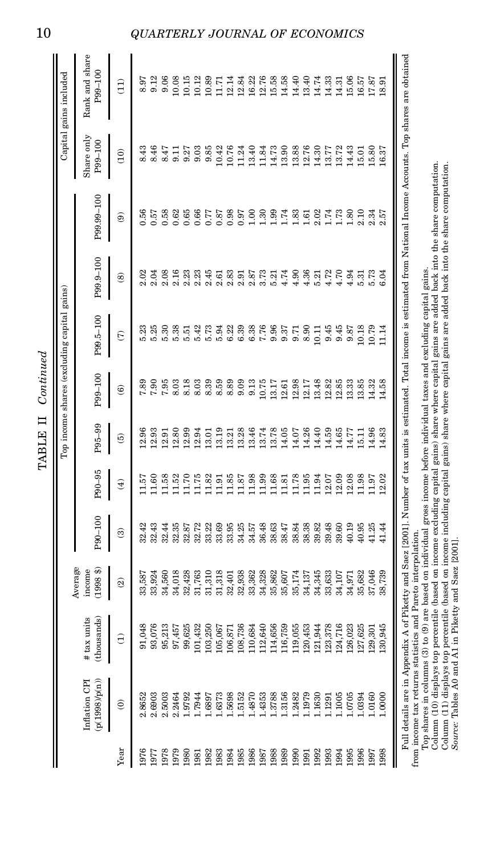| j<br>۲      |  |
|-------------|--|
|             |  |
| Þ<br>г<br>٦ |  |

|      |                                 |                         |                             |            |               |                        | Top income shares (excluding capital gains) |                      |                       |                  |                       | Capital gains included    |
|------|---------------------------------|-------------------------|-----------------------------|------------|---------------|------------------------|---------------------------------------------|----------------------|-----------------------|------------------|-----------------------|---------------------------|
|      | (p(1998)/p(n))<br>Inflation CPI | thousands)<br>tax units | Average<br>1998\$<br>income | $001 - 06$ | $-96 - 96$    | $-36 - 36$             | P99-100                                     | P99.5-100            | <b>P99.9-100</b>      | $-99.99 - 100$   | Share only<br>P99-100 | Rank and share<br>P99-100 |
| Year | $\widehat{\circ}$               | $\widehat{z}$           | $\widehat{\mathfrak{D}}$    | ඔ          | $\widehat{f}$ | $\widehat{\mathbf{e}}$ | ම                                           | $\widehat{\epsilon}$ | ඔ                     | ම                | $\widehat{E}$         | $\widehat{E}$             |
| 1976 | 2.8652                          | 91,048                  | 33,587                      | 32.42      | 1.57          | <b>12.96</b>           | 7.89                                        | 5.23                 | 2.02                  | 0.56             | 8.43                  | 8.97                      |
| 1161 | 2.6903                          | 93,076                  | 33,924                      | 32.43      | 1.60          | 12.93                  | 7.90                                        | 5.25                 | 2.04                  | 0.57             | 8.46                  | 9.12                      |
| 1978 | 2.5003                          | 95,213                  | 34,560                      | 32.44      | 1.58          | 12.91                  | 7.95                                        | 5.30                 | 2.08                  | 0.58             | 8.47                  | 9.06                      |
| 1979 | 2.2464                          | 97,457                  | 34,018                      | 32.35      | 1.52          | 12.80                  | 8.03                                        | 5.38                 | 2.16                  | 0.62             | 9.11                  | 10.08                     |
| 1980 | 1.9792                          | 99,625                  | 32,428                      | 32.87      | 1.70          | 12.99                  | 8.18                                        | 5.51                 | $2.23$<br>$2.23$      | 0.65             | 9.27                  | 10.15                     |
| 1881 | 1.7944                          | 101,432                 | 31,763                      | 32.72      | 1.75          | 12.94                  | 8.03                                        | 5.42                 |                       | 0.66             | 9.03                  | 10.12                     |
| 1982 | <b>1689</b>                     | 103,250                 | 31,310                      | 33.22      | 1.82          | 13.01                  | 8.39                                        | 5.73                 | 2.45                  | 0.77             | 9.85                  | 10.89                     |
| 983  | .6373                           | 105,067                 | 31,318                      | 33.69      | 1.91          | 13.19                  | 8.59                                        | 5.94                 | 2.61                  | 0.87             | 10.42                 | 11.71                     |
| 1984 | 1.5698                          | 106,871                 | 32,401                      | 33.95      | 1.85          | 13.21                  | 8.89                                        | 6.22                 | 2.83                  | 0.98             | 10.76                 | 12.14                     |
| 1985 | 1.5152                          | 108,736                 | 32,938                      | 34.25      | 1.87          | 13.28                  | 9.09                                        | 6.39                 | 2.91                  | 0.97             | 11.24                 | 12.84                     |
| 986  | 1.4870                          | 110,684                 | 33,362                      | 34.57      | 1.98          | 13.46                  | 9.13                                        | 6.38                 | 2.87                  | 1.00             | 13.40                 | 16.22                     |
| 1987 | 1.4353                          | 112,640                 | 34,328                      | 36.48      | 1.99          | 13.74                  | 10.75                                       | 7.76                 | 3.73                  | 1.30             | 11.84                 | 12.76                     |
| 1988 | 1.3788                          | 114,656                 | 35,862                      | 38.63      | 1.68          | 13.78                  | 13.17                                       | 9.96                 | $5.21$<br>4.74        | 1.99             | 14.73                 | 15.58                     |
| 989  | 1.3156                          | 116,759                 | 35,607                      | 38.47      | 1.81          | 14.05                  | 12.61                                       | 9.37                 |                       | 1.74             | 13.90                 | 14.58                     |
| 066  | .2482                           | 119,055                 | 35,174                      | 38.84      | 1.78          | 14.07                  | 12.98                                       | 9.71                 | 4.90                  | 1.83             | 13.88                 | 14.40                     |
| 1991 | 1.1979                          | 120,453                 | 34,137                      | 38.38      | 1.95          | 14.26                  | 12.17                                       | 8.90                 | 4.57<br>4.572<br>4.54 | $1.61$<br>$2.02$ | 12.76                 | 13.40                     |
| 992  | 1.1630                          | 121,944                 | 34,345                      | 39.82      | 1.94          | 14.40                  | 13.48                                       | $\overline{11}$      |                       |                  | 14.30                 | 14.74                     |
| 993  | 1.1291                          | 123,378                 | 33,633                      | 39.48      | 2.07          | 14.59                  | 12.82                                       | 9.45                 |                       | 1.74<br>1.73     | 13.77                 | 14.33                     |
| 994  | 1.1005                          | 124,716                 | 34,107                      | 39.60      | 2.09          | 14.65                  | 12.85                                       | 9.45                 |                       |                  | 13.72                 | 14.31                     |
| 995  | .0705                           | 126,023                 | 34,971                      | 40.19      | 2.08          | 14.77                  | 13.33                                       | 9.87                 | 4.94                  | 1.80             | 14.43                 | 15.06                     |
| 996  | .0394                           | 127,625                 | 35,682                      | 40.95      | 1.98          | 15.11                  | 13.85                                       | 10.18                | 5.31                  | 2.10             | 15.01                 | 16.57                     |
| 1997 | 1.0160                          | 129,301                 | 37,046                      | 41.25      | 11.97         | 14.96                  | 14.32                                       | 10.79                | 5.73                  | 2.34             | 15.80                 | 17.87                     |
| 1998 | 00001                           | 130,945                 | 38,739                      | 11.44      | 12.02         | 14.83                  | 14.58                                       | 1.14                 | 6.04                  | 2.57             | 16.37                 | 18.91                     |

Full details are in Appendix A of Piketty and Saez [2001]. Number of tax units is estimated. Total income is estimated from<br>income tax returns statistics and Pareto interpolation.<br>Color share in the statistics and Pareto i

Top shares in columns (3) to (9) are based on individual gross income before individual taxes and excluding capital gains.<br>Column (10) displays top percentile (based on income excluding capital gains) share where capital g from income tax returns statistics and Pareto interpolation.<br>Top share returns statistics and Pareto interpolation.<br>Top share in shaps to (9) are loased on individual grass income before individual taxes and excluding capi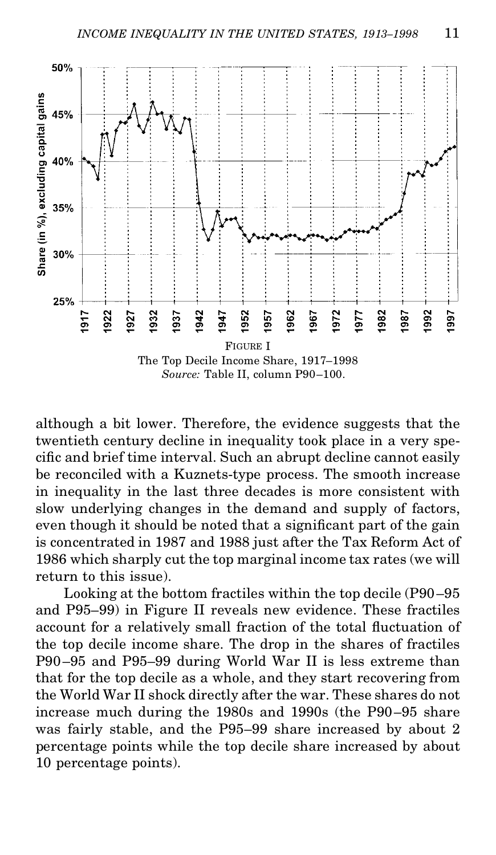

although a bit lower. Therefore, the evidence suggests that the twentieth century decline in inequality took place in a very specific and brief time interval. Such an abrupt decline cannot easily be reconciled with a Kuznets-type process. The smooth increase in inequality in the last three decades is more consistent with slow underlying changes in the demand and supply of factors, even though it should be noted that a significant part of the gain is concentrated in 1987 and 1988 just after the Tax Reform Act of 1986 which sharply cut the top marginal income tax rates (we will return to this issue).

Looking at the bottom fractiles within the top decile (P90–95 and P95–99) in Figure II reveals new evidence. These fractiles account for a relatively small fraction of the total fluctuation of the top decile income share. The drop in the shares of fractiles P90–95 and P95–99 during World War II is less extreme than that for the top decile as a whole, and they start recovering from the World War II shock directly after the war. These shares do not increase much during the 1980s and 1990s (the P90–95 share was fairly stable, and the P95–99 share increased by about 2 percentage points while the top decile share increased by about 10 percentage points).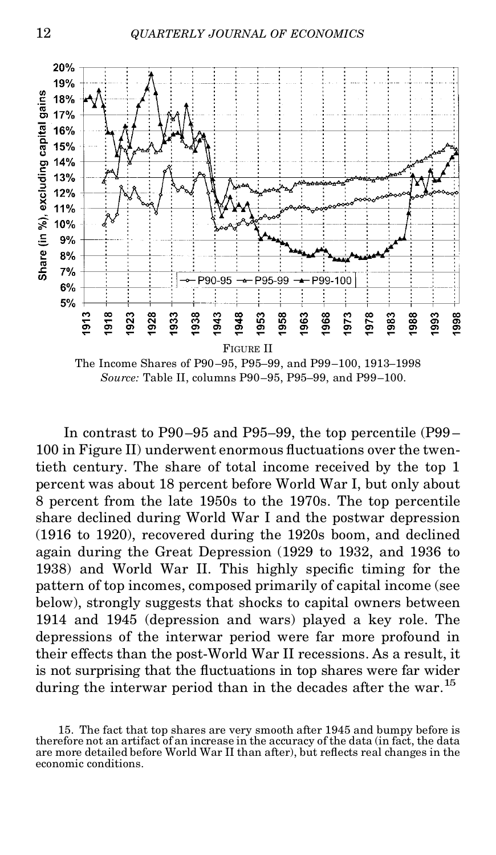

The Income Shares of P90–95, P95–99, and P99–100, 1913–1998 *Source:* Table II, columns P90–95, P95–99, and P99–100.

In contrast to P90–95 and P95–99, the top percentile (P99 – 100 in Figure II) underwent enormous fluctuations over the twentieth century. The share of total income received by the top 1 percent was about 18 percent before World War I, but only about 8 percent from the late 1950s to the 1970s. The top percentile share declined during World War I and the postwar depression (1916 to 1920), recovered during the 1920s boom, and declined again during the Great Depression (1929 to 1932, and 1936 to 1938) and World War II. This highly specific timing for the pattern of top incomes, composed primarily of capital income (see below), strongly suggests that shocks to capital owners between 1914 and 1945 (depression and wars) played a key role. The depressions of the interwar period were far more profound in their effects than the post-World War II recessions. As a result, it is not surprising that the fluctuations in top shares were far wider during the interwar period than in the decades after the war.<sup>15</sup>

<sup>15.</sup> The fact that top shares are very smooth after 1945 and bumpy before is therefore not an artifact of an increase in the accuracy of the data (in fact, the data are more detailed before World War II than after), but reflects real changes in the economic conditions.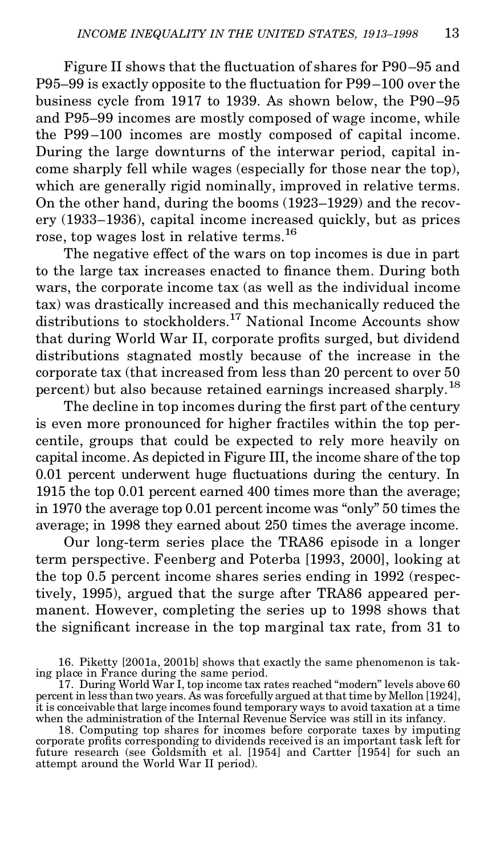Figure II shows that the fluctuation of shares for P90–95 and P95–99 is exactly opposite to the fluctuation for P99–100 over the business cycle from 1917 to 1939. As shown below, the P90–95 and P95–99 incomes are mostly composed of wage income, while the P99 –100 incomes are mostly composed of capital income. During the large downturns of the interwar period, capital income sharply fell while wages (especially for those near the top), which are generally rigid nominally, improved in relative terms. On the other hand, during the booms (1923–1929) and the recovery (1933–1936), capital income increased quickly, but as prices rose, top wages lost in relative terms.<sup>16</sup>

The negative effect of the wars on top incomes is due in part to the large tax increases enacted to finance them. During both wars, the corporate income tax (as well as the individual income tax) was drastically increased and this mechanically reduced the distributions to stockholders.<sup>17</sup> National Income Accounts show that during World War II, corporate profits surged, but dividend distributions stagnated mostly because of the increase in the corporate tax (that increased from less than 20 percent to over 50 percent) but also because retained earnings increased sharply.<sup>18</sup>

The decline in top incomes during the first part of the century is even more pronounced for higher fractiles within the top percentile, groups that could be expected to rely more heavily on capital income. As depicted in Figure III, the income share of the top  $0.01$  percent underwent huge fluctuations during the century. In 1915 the top 0.01 percent earned 400 times more than the average; in 1970 the average top 0.01 percent income was "only" 50 times the average; in 1998 they earned about 250 times the average income.

Our long-term series place the TRA86 episode in a longer term perspective. Feenberg and Poterba [1993, 2000], looking at the top 0.5 percent income shares series ending in 1992 (respectively, 1995), argued that the surge after TRA86 appeared permanent. However, completing the series up to 1998 shows that the signicant increase in the top marginal tax rate, from 31 to

<sup>16.</sup> Piketty [2001a, 2001b] shows that exactly the same phenomenon is tak-ing place in France during the same period.

<sup>17.</sup> During World War I, top income tax rates reached "modern" levels above 60 percent in less than two years. As was forcefully argued at that time by Mellon [1924],<br>it is conceivable that large incomes found temporary ways to avoid taxation at a time when the administration of the Internal Revenue Service was still in its infancy.

<sup>18.</sup> Computing top shares for incomes before corporate taxes by imputing corporate prots corresponding to dividends received is an important task left for future research (see Goldsmith et al. [1954] and Cartter [1954] for such an attempt around the World War II period).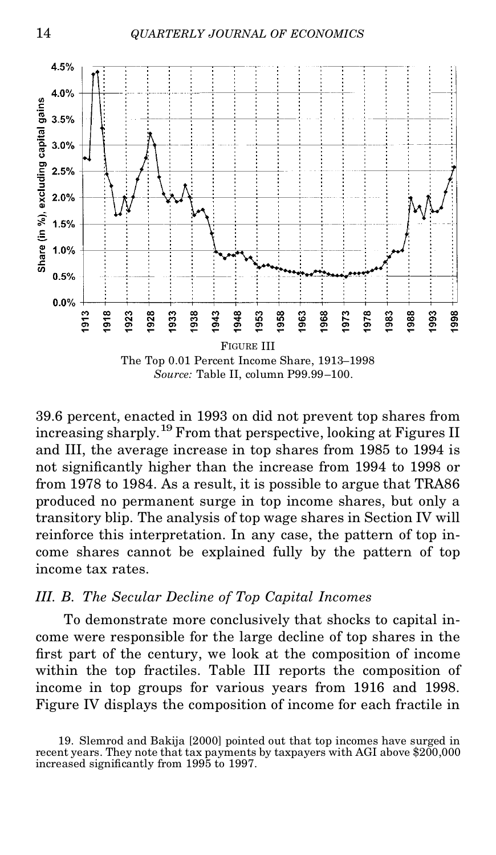

39.6 percent, enacted in 1993 on did not prevent top shares from increasing sharply.<sup>19</sup> From that perspective, looking at Figures II and III, the average increase in top shares from 1985 to 1994 is not signicantly higher than the increase from 1994 to 1998 or from 1978 to 1984. As a result, it is possible to argue that TRA86 produced no permanent surge in top income shares, but only a transitory blip. The analysis of top wage shares in Section IV will reinforce this interpretation. In any case, the pattern of top income shares cannot be explained fully by the pattern of top income tax rates.

#### *III. B. The Secular Decline of Top Capital Incomes*

To demonstrate more conclusively that shocks to capital income were responsible for the large decline of top shares in the first part of the century, we look at the composition of income within the top fractiles. Table III reports the composition of income in top groups for various years from 1916 and 1998. Figure IV displays the composition of income for each fractile in

<sup>19.</sup> Slemrod and Bakija [2000] pointed out that top incomes have surged in recent years. They note that tax payments by taxpayers with AGI above \$200,000 increased signicantly from 1995 to 1997.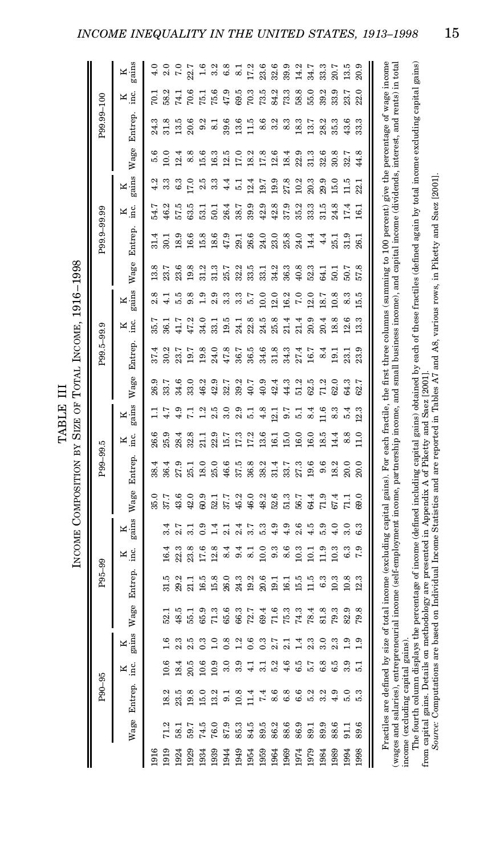|      |                 | P90-95  |                |                             |                | P95-99        |                  |                             |                  | P99-99.5 |          |                |         | P99.5-99.9    |               |               |      | P99.9-99.99       |                 |                 |      | P99.99-100      |                |            |
|------|-----------------|---------|----------------|-----------------------------|----------------|---------------|------------------|-----------------------------|------------------|----------|----------|----------------|---------|---------------|---------------|---------------|------|-------------------|-----------------|-----------------|------|-----------------|----------------|------------|
|      | Wage            | Entrep. | м<br>.<br>Е    | $\frac{\text{R}}{\text{N}}$ | Wage           | Entrep.       | К<br>що          | $\frac{\text{R}}{\text{N}}$ | Wage             | Entrep.  | М.<br>Ма | $rac{K}{M}$    | Wage    | Entrep.       | $K_{\rm inc}$ | gains<br>Κ    | Wage | Entrep            | К.<br>Е         | gains<br>K      | Wage | Entrep.         | $K$ .          | gains<br>K |
| 1916 |                 |         |                |                             |                |               |                  |                             | 35.0             | 38.4     | 26.6     |                | 26.9    | 37.4          | 35.           | 2.8           | 13.8 |                   | 54.7            | 4.2             | 5.6  | 24.3            | 70. J          | 4.0        |
| 1919 | 71.2            | 18.2    | 10.6           | 1.6                         | $\frac{52}{3}$ | 31.5          | 16.4             | 3.4                         | 37.7             | 36.4     | 25.9     | 4.7            | 33.7    | 30.2          | 36.1          | $\frac{1}{4}$ | 23.7 | $\overline{30}$ . | 46.2            | 3.3             | 10.0 | 31.8            | 58.2           | 2.0        |
| 1924 | $\overline{58}$ | 23.5    | 18.4           | 2.3                         | 48.5           | 29.2          | 22.3             | 2.7                         | 43.6             | 27.9     | 28.4     | 4.9            | 34.6    | 23.7          | 41.7          | 5.5           | 23.6 | 18.9              | 57.5            | 6.3             | 12.4 | 13.5            | 74.1           | 7.0        |
| 1929 | စ္က             | 19.8    | 20.5           | 2.5                         | 55.1           |               | 23.8             | $\frac{1}{3}$               | 42.0             | 25.1     | 32.8     | Ξ              | 33.0    | 19.7          | 47.2          | 9.8           | 19.8 | 16.6              | 63.5            | <b>L7.0</b>     | 8.8  | 20.6            | 70.6           | 22.7       |
| 1934 | 74.5            | 15.0    | 10.6           | 0.3                         | 65.9           | 16.5          | 17.6             | 0.9                         | 6.03             | 18.0     | 21.1     | $\frac{2}{1}$  | 46.2    | 19.8          | 34.0          | 0.9           | 31.2 | 15.8              | 53.1            | 2.5             | 15.6 | 9.2             | 75.1           | 1.6        |
| 1939 | 76.0            | 13.2    | 10.9           | $\frac{0}{1}$               | 71.3           | 15.8          | 12.8             | $\vec{1}$                   | 52.1             | 25.0     | 22.9     | 2.5            | 42.9    | 24.0          | 33.1          | 2.9           | 31.3 | 18.6              | $\overline{50}$ | 3.3             | 16.3 | $\overline{81}$ | 75.6           | 3.2        |
| 1944 | 87.9            | 5       | 3.0            | 0.8                         | 65.6           | 26.0          | 8.4              | 2.1                         | 37.7             | 46.6     | 15.7     | 3.0            | 32.7    | 47.8          | 19.5          | 3.3           | 25.7 | 47.9              | 26.4            | 4.4             | 12.5 | 39.6            | 47.9           | 6.8        |
| 1949 | 85.3            | 10.8    | 3.9            | $\frac{2}{1}$               | 66.3           | 24.3          | 9.4              | 2.4                         | $\frac{15.2}{2}$ | 37.5     | 17.3     | 2.9            | 39.2    | 36.7          | 24.1          | 3.3           | 32.2 | 29.1              | 38.7            | 귾               | 17.0 | 13.6            | 69.5           | $\approx$  |
| 1954 | 84.5            | 1.4     | $\frac{1}{4}$  | 0.6                         | 72.7           | 19.2          | 8.1              | 3.7                         | 46.0             | 36.8     | 17.2     | 51             | 40.7    | 36.5          | 22.8          | 57            | 33.5 | 26.6              | 39.9            | 12.4            | 18.2 | 1.5             | 70.3           | 17.2       |
| 1959 | 89.5            | 7.4     | $\overline{3}$ | $\ddot{0}$                  | 69.4           | 20.6          | 10.0             | 5.3                         | 48.2             | 38.2     | 13.6     | 4.8            | 40.9    | 34.6          | 24.5          | 10.0          | 33.1 | 24.0              | 42.9            | 19.7            | 17.8 | 8.6             | 73.5           | 23.6       |
| 1964 | 86.             | 8.6     | 52             | 2.7                         | 71.6           | $\frac{1}{9}$ | 9.3              | 4.9                         | 52.6             | 31.4     | 16.1     | 12.1           | 42.4    | 31.8          | 25.8          | 12.0          | 34.2 | 23.0              | 42.8            | 19.9            | 12.6 | 3.2             | 84.2           | 32.6       |
| 1969 | 88.6            | 6.8     | 4.6            | $\overline{21}$             | 75.3           | 16.1          | 8.6              | 4.9                         | 51.3             | 33.7     | 15.0     | 9.7            | 44.3    | 34.3          | 21.4          | 16.2          | 36.3 | 25.8              | 37.9            | 27.8            | 18.4 | 8.3             | 73.3           | 39.9       |
| 1974 | 86.9            | 6.6     | 6.5            | 그                           | 74.3           | 15.5          | 10.3             | 2.6                         | 56.7             | 27.3     | 16.0     | 51             | 51.2    | 27.4          | 21.4          | $\frac{0}{7}$ | 40.8 | 24.0              | 35.2            | 10.2            | 22.9 | 18.3            | 58.8           | 14.2       |
| 1979 | 89.1            | 5.2     | 5.7            | 2.3                         | 78.4           |               | $\overline{101}$ | 4.5                         | $^{64.4}$        | 19.6     | 16.0     | 8.4            | 62.5    | 16.7          | 20.9          | $^{12.0}$     | 52.3 | 14.4              | 33.3            | 20.3            | 31.3 | 13.7            | 55.0           | 34.7       |
| 1984 | 89.9            | 3.2     | 6.8            | 3.0                         | 81.8           |               | 11.9             | 5.9                         |                  | 9.6      | 18.5     | $\frac{6}{11}$ | 71.2    | 8.4           | 20.4          | 18.7          |      | 4.4               | 31.5            | 29.9            | 32.6 | 28.2            | 39.2           | 33.3       |
| 1989 | 88.6            | 4.9     | 6.5            | 2.3                         | 79.3           | 10.3          | 10.3             | 4.0                         | 67.4             | 18.2     | 14.4     | 8.3            | 62.0    | $\frac{1}{9}$ | 18.8          | 10.8          |      | 25.1              | 24.8            | 15.0            | 30.8 | 35.3            | 33.9           | 20.7       |
| 1994 | 511             | 5.0     | 3.9            | $\frac{0}{1}$               | 82.9           | 10.8          | 6.3              | 3.0                         |                  | 20.0     | 8.8      | 5.4            | 64.3    | $23$ .        | 12.6          | 8.3           | 50.7 | 31.9              | 17.4            | $\frac{5}{11}$  | 32.7 | 43.6            | 23.7           | 13.5       |
| 1998 | G<br>စ္တ        | 53      | 릉              | $\frac{0}{1}$               | 79.8           | 12.3          | 7.9              | 6.3                         | 69.0             | 20.0     | 11.0     | 12.3           | r.<br>ଞ | 23.9          | 13.3          | 15.5          | 57.8 | 26.               | $\overline{16}$ | $\overline{23}$ | 44.8 | 33.3            | $\circ$<br>22. | 20.9       |

 $1016-1000$ **Tarcoard** TABLE III<br>SIZE OF TO<br>**BLESTING** j INGOMETY COM

(wages and salaries), entrepreneurial income (self-employment income, partnersin pucome, and small pusiness income), and capital income (dividends, interest, and rents) in total ming to 100 percent) give the percentage of wage income<br>and capital income (dividends, interest, and rents) in total (wages and salaries), entrepreneurial income (self-employment income, partnership income, and small business income), and capital income (dividends, interest, and rents) in total<br>income fourth ing capital gains the percent Fractiles are defined by size of total income (excluding capital gains). For each fractile, the first three columns (sum<br>tes and salaries), entrepreneurial income (self-employment income, partnership income, and small busi income (excluding capital gains).

The fourth column displays the percentage of income (defined including capital gains) obtained by each of these fractiles (defined again by total income excluding capital gains) income (excluding capital gains).<br>The fourth column displays the percentage of income (defined including capital gains) obtained by each of these fractiles (defined again by total income excluding capital gains)<br>from sourc from capital gains. Details on methodology are presented in Appendix A of Piketty and Saez [2001]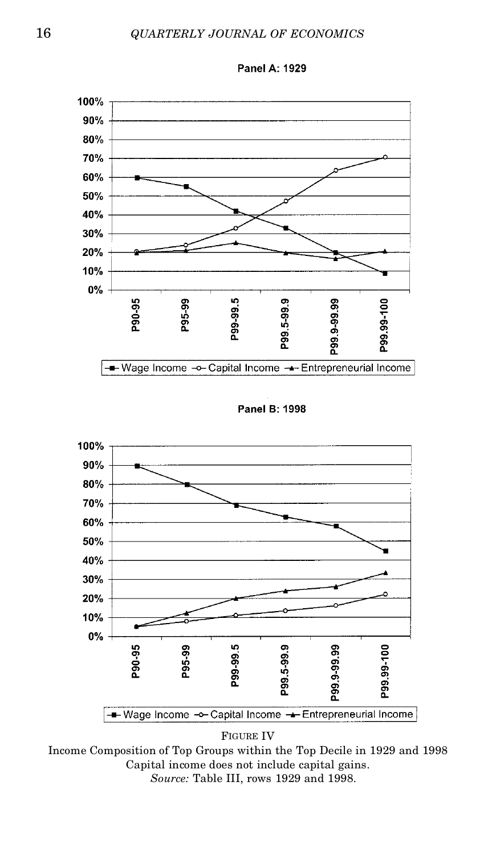#### 16 *QUARTERLY JOURNAL OF ECONOMICS*



Panel A: 1929

Panel B: 1998



FIGURE IV

Income Composition of Top Groups within the Top Decile in 1929 and 1998 Capital income does not include capital gains. *Source:* Table III, rows 1929 and 1998.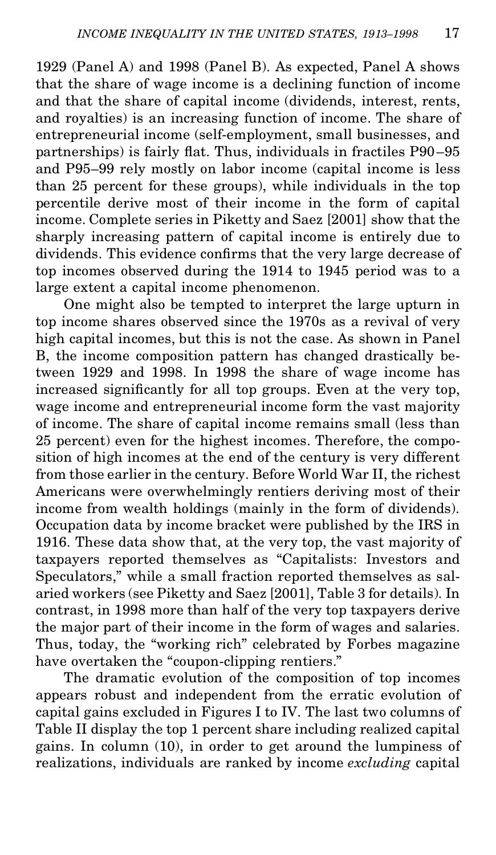1929 (Panel A) and 1998 (Panel B). As expected, Panel A shows that the share of wage income is a declining function of income and that the share of capital income (dividends, interest, rents, and royalties) is an increasing function of income. The share of entrepreneurial income (self-employment, small businesses, and partnerships) is fairly flat. Thus, individuals in fractiles P90-95 and P95–99 rely mostly on labor income (capital income is less than 25 percent for these groups), while individuals in the top percentile derive most of their income in the form of capital income. Complete series in Piketty and Saez [2001] show that the sharply increasing pattern of capital income is entirely due to dividends. This evidence confirms that the very large decrease of top incomes observed during the 1914 to 1945 period was to a large extent a capital income phenomenon.

One might also be tempted to interpret the large upturn in top income shares observed since the 1970s as a revival of very high capital incomes, but this is not the case. As shown in Panel B, the income composition pattern has changed drastically between 1929 and 1998. In 1998 the share of wage income has increased significantly for all top groups. Even at the very top, wage income and entrepreneurial income form the vast majority of income. The share of capital income remains small (less than 25 percent) even for the highest incomes. Therefore, the composition of high incomes at the end of the century is very different from those earlier in the century. Before World War II, the richest Americans were overwhelmingly rentiers deriving most of their income from wealth holdings (mainly in the form of dividends). Occupation data by income bracket were published by the IRS in 1916. These data show that, at the very top, the vast majority of taxpayers reported themselves as "Capitalists: Investors and Speculators," while a small fraction reported themselves as salaried workers (see Piketty and Saez [2001], Table 3 for details). In contrast, in 1998 more than half of the very top taxpayers derive the major part of their income in the form of wages and salaries. Thus, today, the "working rich" celebrated by Forbes magazine have overtaken the "coupon-clipping rentiers."

The dramatic evolution of the composition of top incomes appears robust and independent from the erratic evolution of capital gains excluded in Figures I to IV. The last two columns of Table II display the top 1 percent share including realized capital gains. In column (10), in order to get around the lumpiness of realizations, individuals are ranked by income *excluding* capital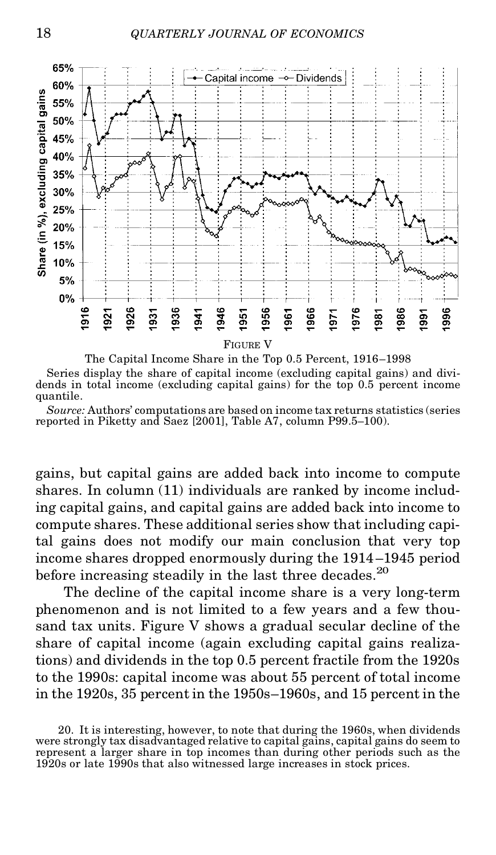

The Capital Income Share in the Top 0.5 Percent, 1916–1998 Series display the share of capital income (excluding capital gains) and dividends in total income (excluding capital gains) for the top 0.5 percent income quantile.

*Source:* Authors' computations are based on income tax returns statistics (series reported in Piketty and Saez [2001], Table A7, column P99.5–100).

gains, but capital gains are added back into income to compute shares. In column (11) individuals are ranked by income including capital gains, and capital gains are added back into income to compute shares. These additional series show that including capital gains does not modify our main conclusion that very top income shares dropped enormously during the 1914 –1945 period before increasing steadily in the last three decades.<sup>20</sup>

The decline of the capital income share is a very long-term phenomenon and is not limited to a few years and a few thousand tax units. Figure V shows a gradual secular decline of the share of capital income (again excluding capital gains realizations) and dividends in the top 0.5 percent fractile from the 1920s to the 1990s: capital income was about 55 percent of total income in the 1920s, 35 percent in the 1950s–1960s, and 15 percent in the

<sup>20.</sup> It is interesting, however, to note that during the 1960s, when dividends were strongly tax disadvantaged relative to capital gains, capital gains do seem to represent a larger share in top incomes than during other periods such as the 1920s or late 1990s that also witnessed large increases in stock prices.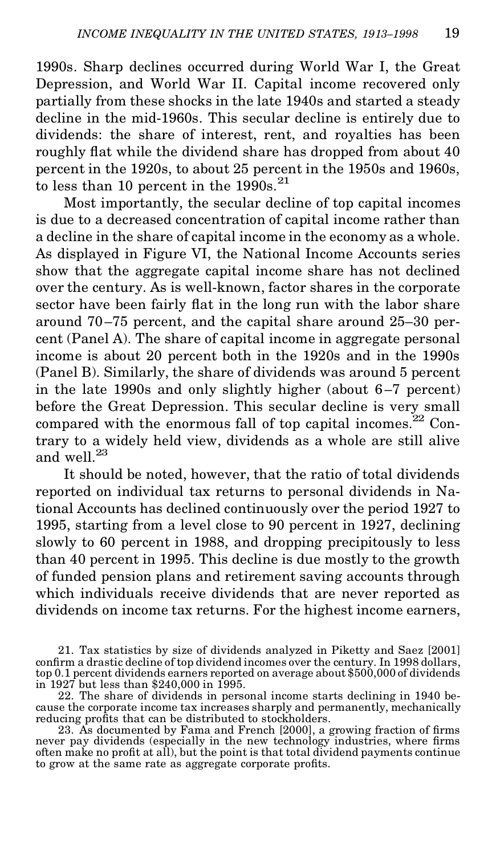1990s. Sharp declines occurred during World War I, the Great Depression, and World War II. Capital income recovered only partially from these shocks in the late 1940s and started a steady decline in the mid-1960s. This secular decline is entirely due to dividends: the share of interest, rent, and royalties has been roughly flat while the dividend share has dropped from about 40 percent in the 1920s, to about 25 percent in the 1950s and 1960s, to less than 10 percent in the  $1990s.<sup>21</sup>$ 

Most importantly, the secular decline of top capital incomes is due to a decreased concentration of capital income rather than a decline in the share of capital income in the economy as a whole. As displayed in Figure VI, the National Income Accounts series show that the aggregate capital income share has not declined over the century. As is well-known, factor shares in the corporate sector have been fairly flat in the long run with the labor share around 70–75 percent, and the capital share around 25–30 percent (Panel A). The share of capital income in aggregate personal income is about 20 percent both in the 1920s and in the 1990s (Panel B). Similarly, the share of dividends was around 5 percent in the late 1990s and only slightly higher (about 6–7 percent) before the Great Depression. This secular decline is very small compared with the enormous fall of top capital incomes. $^{22}$  Contrary to a widely held view, dividends as a whole are still alive and well.<sup>23</sup>

It should be noted, however, that the ratio of total dividends reported on individual tax returns to personal dividends in National Accounts has declined continuously over the period 1927 to 1995, starting from a level close to 90 percent in 1927, declining slowly to 60 percent in 1988, and dropping precipitously to less than 40 percent in 1995. This decline is due mostly to the growth of funded pension plans and retirement saving accounts through which individuals receive dividends that are never reported as dividends on income tax returns. For the highest income earners,

21. Tax statistics by size of dividends analyzed in Piketty and Saez [2001] confirm a drastic decline of top dividend incomes over the century. In 1998 dollars, top 0.1 percent dividends earners reported on average about \$500,000 of dividends in 1927 but less than \$240,000 in 1995.

22. The share of dividends in personal income starts declining in 1940 be cause the corporate income tax increases sharply and permanently, mechanically reducing profits that can be distributed to stockholders.

23. As documented by Fama and French [2000], a growing fraction of firms never pay dividends (especially in the new technology industries, where firms often make no profit at all), but the point is that total dividend paym to grow at the same rate as aggregate corporate profits.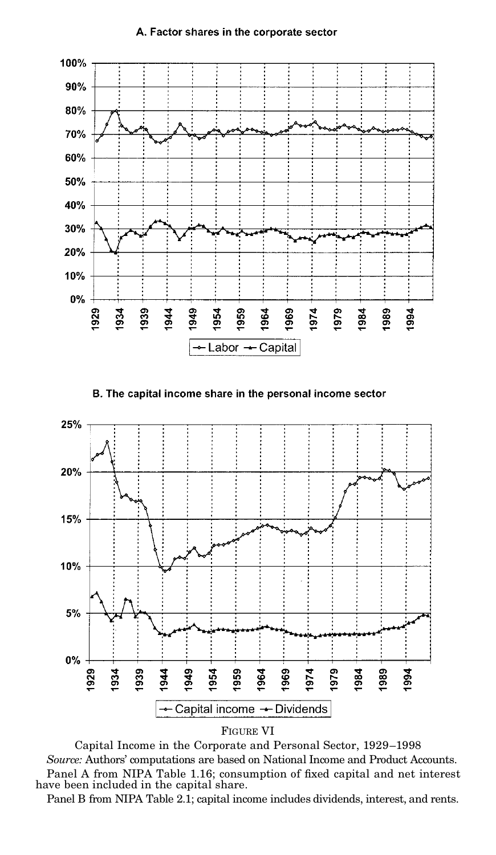#### A. Factor shares in the corporate sector







Capital Income in the Corporate and Personal Sector, 1929–1998 *Source:* Authors' computations are based on National Income and Product Accounts. Panel A from NIPA Table 1.16; consumption of fixed capital and net interest have been included in the capital share.

Panel B from NIPA Table 2.1; capital income includes dividends, interest, and rents.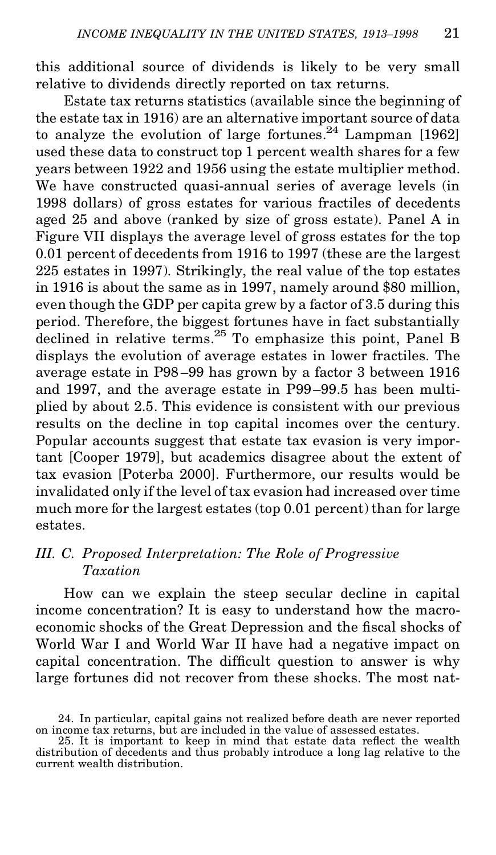this additional source of dividends is likely to be very small relative to dividends directly reported on tax returns.

Estate tax returns statistics (available since the beginning of the estate tax in 1916) are an alternative important source of data to analyze the evolution of large fortunes.<sup>24</sup> Lampman [1962] used these data to construct top 1 percent wealth shares for a few years between 1922 and 1956 using the estate multiplier method. We have constructed quasi-annual series of average levels (in 1998 dollars) of gross estates for various fractiles of decedents aged 25 and above (ranked by size of gross estate). Panel A in Figure VII displays the average level of gross estates for the top 0.01 percent of decedents from 1916 to 1997 (these are the largest 225 estates in 1997). Strikingly, the real value of the top estates in 1916 is about the same as in 1997, namely around \$80 million, even though the GDP per capita grew by a factor of 3.5 during this period. Therefore, the biggest fortunes have in fact substantially declined in relative terms.<sup>25</sup> To emphasize this point, Panel B displays the evolution of average estates in lower fractiles. The average estate in P98 –99 has grown by a factor 3 between 1916 and 1997, and the average estate in P99–99.5 has been multiplied by about 2.5. This evidence is consistent with our previous results on the decline in top capital incomes over the century. Popular accounts suggest that estate tax evasion is very important [Cooper 1979], but academics disagree about the extent of tax evasion [Poterba 2000]. Furthermore, our results would be invalidated only if the level of tax evasion had increased over time much more for the largest estates (top 0.01 percent) than for large estates.

#### *III. C. Proposed Interpretation: The Role of Progressive Taxation*

How can we explain the steep secular decline in capital income concentration? It is easy to understand how the macroeconomic shocks of the Great Depression and the fiscal shocks of World War I and World War II have had a negative impact on capital concentration. The difficult question to answer is why large fortunes did not recover from these shocks. The most nat-

<sup>24.</sup> In particular, capital gains not realized before death are never reported on income tax returns, but are included in the value of assessed estates.<br>25. It is important to keep in mind that estate data reflect the wealth

distribution of decedents and thus probably introduce a long lag relative to the current wealth distribution.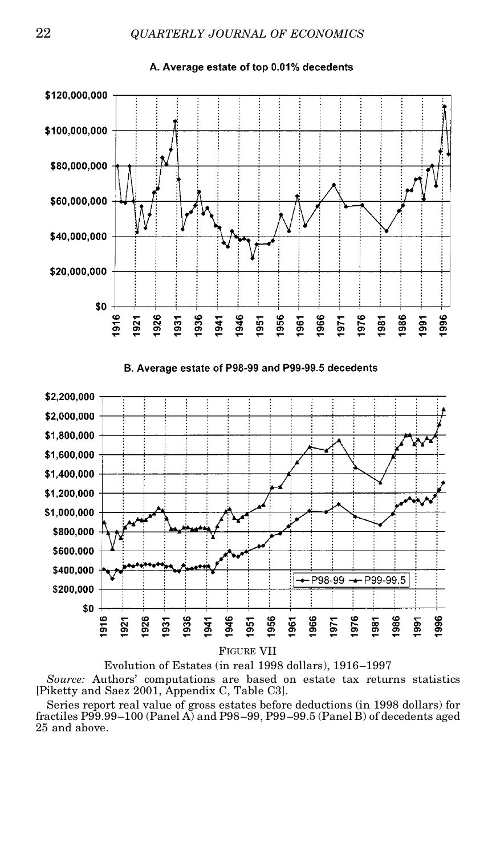A. Average estate of top 0.01% decedents



*Source:* Authors' computations are based on estate tax returns statistics

[Piketty and Saez 2001, Appendix C, Table C3].

Series report real value of gross estates before deductions (in 1998 dollars) for fractiles P99.99–100 (Panel A) and P98–99, P99–99.5 (Panel B) of decedents aged 25 and above.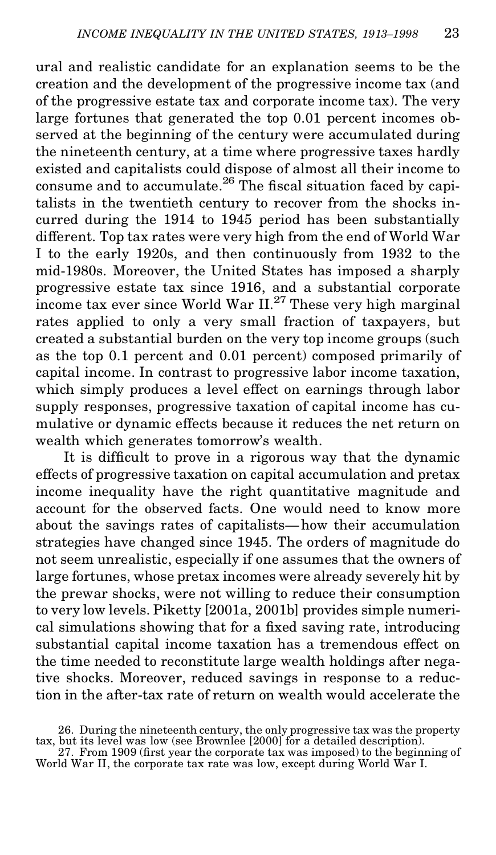ural and realistic candidate for an explanation seems to be the creation and the development of the progressive income tax (and of the progressive estate tax and corporate income tax). The very large fortunes that generated the top 0.01 percent incomes observed at the beginning of the century were accumulated during the nineteenth century, at a time where progressive taxes hardly existed and capitalists could dispose of almost all their income to consume and to accumulate. $26$  The fiscal situation faced by capitalists in the twentieth century to recover from the shocks incurred during the 1914 to 1945 period has been substantially different. Top tax rates were very high from the end of World War I to the early 1920s, and then continuously from 1932 to the mid-1980s. Moreover, the United States has imposed a sharply progressive estate tax since 1916, and a substantial corporate income tax ever since World War II.<sup>27</sup> These very high marginal rates applied to only a very small fraction of taxpayers, but created a substantial burden on the very top income groups (such as the top 0.1 percent and 0.01 percent) composed primarily of capital income. In contrast to progressive labor income taxation, which simply produces a level effect on earnings through labor supply responses, progressive taxation of capital income has cumulative or dynamic effects because it reduces the net return on wealth which generates tomorrow's wealth.

It is difficult to prove in a rigorous way that the dynamic effects of progressive taxation on capital accumulation and pretax income inequality have the right quantitative magnitude and account for the observed facts. One would need to know more about the savings rates of capitalists—how their accumulation strategies have changed since 1945. The orders of magnitude do not seem unrealistic, especially if one assumes that the owners of large fortunes, whose pretax incomes were already severely hit by the prewar shocks, were not willing to reduce their consumption to very low levels. Piketty [2001a, 2001b] provides simple numerical simulations showing that for a fixed saving rate, introducing substantial capital income taxation has a tremendous effect on the time needed to reconstitute large wealth holdings after negative shocks. Moreover, reduced savings in response to a reduction in the after-tax rate of return on wealth would accelerate the

<sup>26.</sup> During the nineteenth century, the only progressive tax was the property tax, but its level was low (see Brownlee [2000] for a detailed description).

<sup>27.</sup> From 1909 (first year the corporate tax was imposed) to the beginning of World War II, the corporate tax rate was low, except during World War I.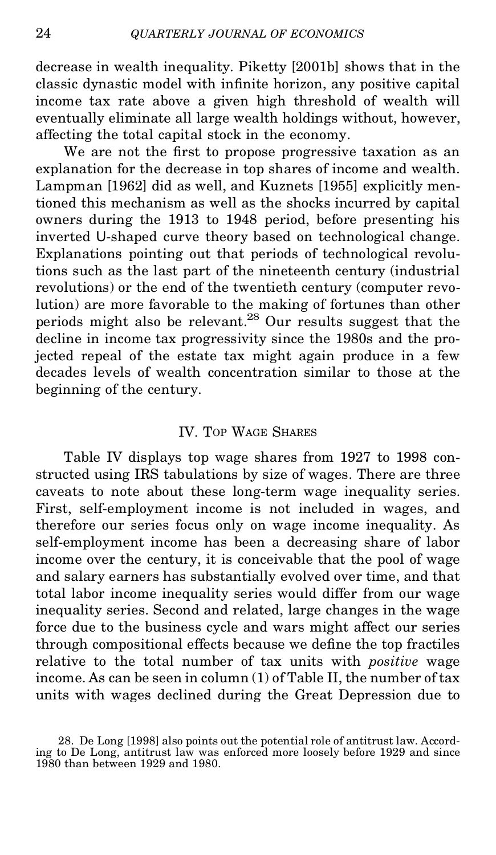decrease in wealth inequality. Piketty [2001b] shows that in the classic dynastic model with infinite horizon, any positive capital income tax rate above a given high threshold of wealth will eventually eliminate all large wealth holdings without, however, affecting the total capital stock in the economy.

We are not the first to propose progressive taxation as an explanation for the decrease in top shares of income and wealth. Lampman [1962] did as well, and Kuznets [1955] explicitly mentioned this mechanism aswell as the shocks incurred by capital owners during the 1913 to 1948 period, before presenting his inverted U-shaped curve theory based on technological change. Explanations pointing out that periods of technological revolutions such as the last part of the nineteenth century (industrial revolutions) or the end of the twentieth century (computer revolution) are more favorable to the making of fortunes than other periods might also be relevant.<sup>28</sup> Our results suggest that the decline in income tax progressivity since the 1980s and the projected repeal of the estate tax might again produce in a few decades levels of wealth concentration similar to those at the beginning of the century.

#### IV. TOP WAGE SHARES

Table IV displays top wage shares from 1927 to 1998 constructed using IRS tabulations by size of wages. There are three caveats to note about these long-term wage inequality series. First, self-employment income is not included in wages, and therefore our series focus only on wage income inequality. As self-employment income has been a decreasing share of labor income over the century, it is conceivable that the pool of wage and salary earners has substantially evolved over time, and that total labor income inequality series would differ from our wage inequality series. Second and related, large changes in the wage force due to the business cycle and wars might affect our series through compositional effects because we define the top fractiles relative to the total number of tax units with *positive* wage income. As can be seen in column (1) of Table II, the number of tax units with wages declined during the Great Depression due to

<sup>28.</sup> De Long [1998] also points out the potential role of antitrust law. According to De Long, antitrust law was enforced more loosely before 1929 and since 1980 than between 1929 and 1980.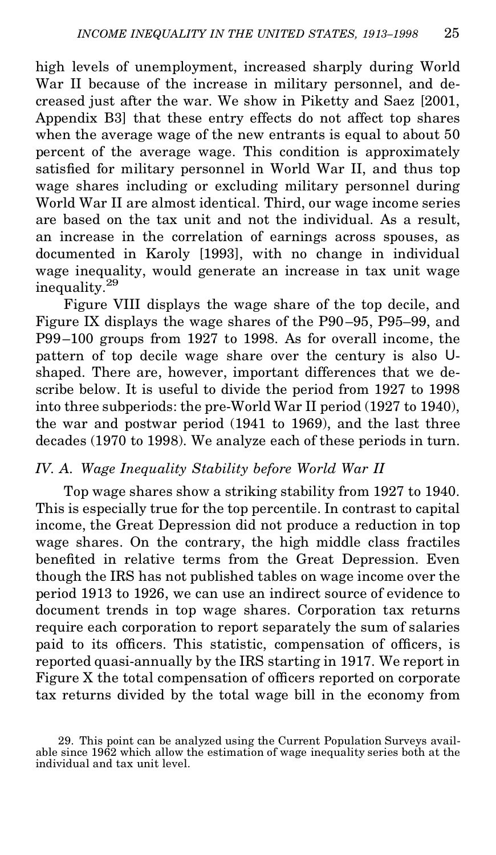high levels of unemployment, increased sharply during World War II because of the increase in military personnel, and decreased just after the war. We show in Piketty and Saez [2001, Appendix B3] that these entry effects do not affect top shares when the average wage of the new entrants is equal to about 50 percent of the average wage. This condition is approximately satisfied for military personnel in World War II, and thus top wage shares including or excluding military personnel during World War II are almost identical. Third, our wage income series are based on the tax unit and not the individual. As a result, an increase in the correlation of earnings across spouses, as documented in Karoly [1993], with no change in individual wage inequality, would generate an increase in tax unit wage inequality.<sup>29</sup>

Figure VIII displays the wage share of the top decile, and Figure IX displays the wage shares of the P90–95, P95–99, and P99–100 groups from 1927 to 1998. As for overall income, the pattern of top decile wage share over the century is also U shaped. There are, however, important differences that we describe below. It is useful to divide the period from 1927 to 1998 into three subperiods: the pre-World War II period (1927 to 1940), the war and postwar period (1941 to 1969), and the last three decades (1970 to 1998). We analyze each of these periods in turn.

#### *IV. A. Wage Inequality Stability before World War II*

Top wage shares show a striking stability from 1927 to 1940. This is especially true for the top percentile. In contrast to capital income, the Great Depression did not produce a reduction in top wage shares. On the contrary, the high middle class fractiles benefited in relative terms from the Great Depression. Even though the IRS has not published tables on wage income over the period 1913 to 1926, we can use an indirect source of evidence to document trends in top wage shares. Corporation tax returns require each corporation to report separately the sum of salaries paid to its officers. This statistic, compensation of officers, is reported quasi-annually by the IRS starting in 1917. We report in Figure  $X$  the total compensation of officers reported on corporate tax returns divided by the total wage bill in the economy from

<sup>29.</sup> This point can be analyzed using the Current Population Surveys available since 1962 which allow the estimation of wage inequality series both at the individual and tax unit level.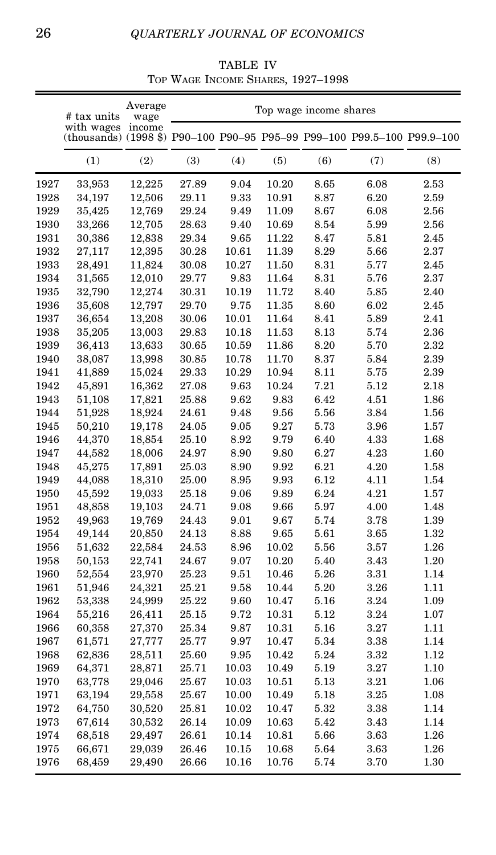TABLE IV TOP WAGE INCOME SHARES, 1927–1998

|      | # tax units                                                                           | Average<br>wage |       |          |       | Top wage income shares |      |      |
|------|---------------------------------------------------------------------------------------|-----------------|-------|----------|-------|------------------------|------|------|
|      | with wages<br>(thousands) (1998 \$) P90-100 P90-95 P95-99 P99-100 P99.5-100 P99.9-100 | income          |       |          |       |                        |      |      |
|      | (1)                                                                                   | (2)             | (3)   | (4)      | (5)   | (6)                    | (7)  | (8)  |
| 1927 | 33,953                                                                                | 12,225          | 27.89 | 9.04     | 10.20 | 8.65                   | 6.08 | 2.53 |
| 1928 | 34,197                                                                                | 12,506          | 29.11 | 9.33     | 10.91 | 8.87                   | 6.20 | 2.59 |
| 1929 | 35,425                                                                                | 12,769          | 29.24 | 9.49     | 11.09 | 8.67                   | 6.08 | 2.56 |
| 1930 | 33,266                                                                                | 12,705          | 28.63 | 9.40     | 10.69 | 8.54                   | 5.99 | 2.56 |
| 1931 | 30,386                                                                                | 12,838          | 29.34 | 9.65     | 11.22 | 8.47                   | 5.81 | 2.45 |
| 1932 | 27,117                                                                                | 12,395          | 30.28 | 10.61    | 11.39 | 8.29                   | 5.66 | 2.37 |
| 1933 | 28,491                                                                                | 11,824          | 30.08 | 10.27    | 11.50 | 8.31                   | 5.77 | 2.45 |
| 1934 | 31,565                                                                                | 12,010          | 29.77 | 9.83     | 11.64 | 8.31                   | 5.76 | 2.37 |
| 1935 | 32,790                                                                                | 12,274          | 30.31 | 10.19    | 11.72 | 8.40                   | 5.85 | 2.40 |
| 1936 | 35,608                                                                                | 12,797          | 29.70 | 9.75     | 11.35 | 8.60                   | 6.02 | 2.45 |
| 1937 | 36,654                                                                                | 13,208          | 30.06 | 10.01    | 11.64 | 8.41                   | 5.89 | 2.41 |
| 1938 | 35,205                                                                                | 13,003          | 29.83 | 10.18    | 11.53 | 8.13                   | 5.74 | 2.36 |
| 1939 | 36,413                                                                                | 13,633          | 30.65 | 10.59    | 11.86 | 8.20                   | 5.70 | 2.32 |
| 1940 | 38,087                                                                                | 13,998          | 30.85 | 10.78    | 11.70 | 8.37                   | 5.84 | 2.39 |
| 1941 | 41,889                                                                                | 15,024          | 29.33 | 10.29    | 10.94 | 8.11                   | 5.75 | 2.39 |
| 1942 | 45,891                                                                                | 16,362          | 27.08 | 9.63     | 10.24 | 7.21                   | 5.12 | 2.18 |
| 1943 | 51,108                                                                                | 17,821          | 25.88 | 9.62     | 9.83  | 6.42                   | 4.51 | 1.86 |
| 1944 | 51,928                                                                                | 18,924          | 24.61 | 9.48     | 9.56  | 5.56                   | 3.84 | 1.56 |
| 1945 | 50,210                                                                                | 19,178          | 24.05 | 9.05     | 9.27  | 5.73                   | 3.96 | 1.57 |
| 1946 | 44,370                                                                                | 18,854          | 25.10 | 8.92     | 9.79  | 6.40                   | 4.33 | 1.68 |
| 1947 | 44,582                                                                                | 18,006          | 24.97 | 8.90     | 9.80  | 6.27                   | 4.23 | 1.60 |
| 1948 | 45,275                                                                                | 17,891          | 25.03 | 8.90     | 9.92  | 6.21                   | 4.20 | 1.58 |
| 1949 | 44,088                                                                                | 18,310          | 25.00 | 8.95     | 9.93  | 6.12                   | 4.11 | 1.54 |
| 1950 | 45,592                                                                                | 19,033          | 25.18 | 9.06     | 9.89  | 6.24                   | 4.21 | 1.57 |
| 1951 | 48,858                                                                                | 19,103          | 24.71 | 9.08     | 9.66  | 5.97                   | 4.00 | 1.48 |
| 1952 | 49,963                                                                                | 19,769          | 24.43 | 9.01     | 9.67  | 5.74                   | 3.78 | 1.39 |
| 1954 | 49,144                                                                                | 20,850          | 24.13 | 8.88     | 9.65  | 5.61                   | 3.65 | 1.32 |
| 1956 | 51,632                                                                                | 22,584          | 24.53 | 8.96     | 10.02 | 5.56                   | 3.57 | 1.26 |
| 1958 | 50,153                                                                                | 22,741          | 24.67 | $9.07\,$ | 10.20 | 5.40                   | 3.43 | 1.20 |
| 1960 | 52,554                                                                                | 23,970          | 25.23 | 9.51     | 10.46 | 5.26                   | 3.31 | 1.14 |
| 1961 | 51,946                                                                                | 24,321          | 25.21 | 9.58     | 10.44 | 5.20                   | 3.26 | 1.11 |
| 1962 | 53,338                                                                                | 24,999          | 25.22 | 9.60     | 10.47 | 5.16                   | 3.24 | 1.09 |
| 1964 | 55,216                                                                                | 26,411          | 25.15 | 9.72     | 10.31 | 5.12                   | 3.24 | 1.07 |
| 1966 | 60,358                                                                                | 27,370          | 25.34 | 9.87     | 10.31 | 5.16                   | 3.27 | 1.11 |
| 1967 | 61,571                                                                                | 27,777          | 25.77 | 9.97     | 10.47 | 5.34                   | 3.38 | 1.14 |
| 1968 | 62,836                                                                                | 28,511          | 25.60 | 9.95     | 10.42 | 5.24                   | 3.32 | 1.12 |
| 1969 | 64,371                                                                                | 28,871          | 25.71 | 10.03    | 10.49 | 5.19                   | 3.27 | 1.10 |
| 1970 | 63,778                                                                                | 29,046          | 25.67 | 10.03    | 10.51 | 5.13                   | 3.21 | 1.06 |
| 1971 | 63,194                                                                                | 29,558          | 25.67 | 10.00    | 10.49 | 5.18                   | 3.25 | 1.08 |
| 1972 | 64,750                                                                                | 30,520          | 25.81 | 10.02    | 10.47 | 5.32                   | 3.38 | 1.14 |
| 1973 | 67,614                                                                                | 30,532          | 26.14 | 10.09    | 10.63 | 5.42                   | 3.43 | 1.14 |
| 1974 | 68,518                                                                                | 29,497          | 26.61 | 10.14    | 10.81 | 5.66                   | 3.63 | 1.26 |
| 1975 | 66,671                                                                                | 29,039          | 26.46 | 10.15    | 10.68 | 5.64                   | 3.63 | 1.26 |
| 1976 | 68,459                                                                                | 29,490          | 26.66 | 10.16    | 10.76 | 5.74                   | 3.70 | 1.30 |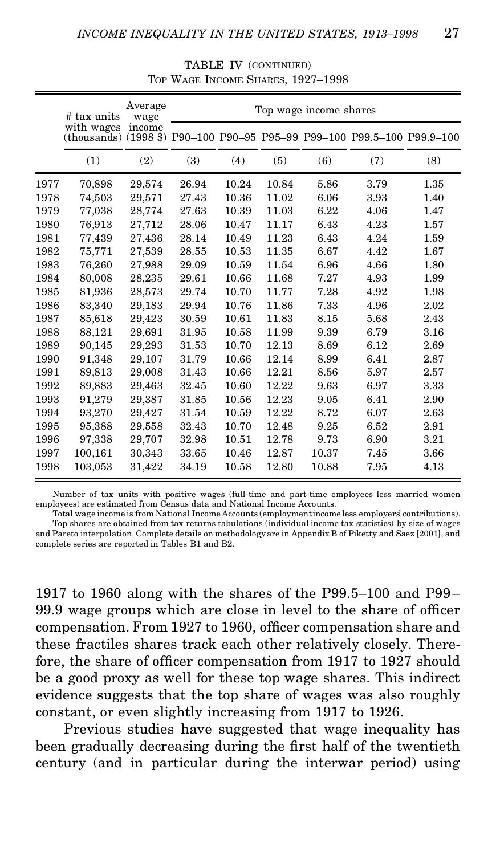|      | # tax units                                                                           | Average<br>wage |       |       |       | Top wage income shares |      |      |
|------|---------------------------------------------------------------------------------------|-----------------|-------|-------|-------|------------------------|------|------|
|      | with wages<br>(thousands) (1998 \$) P90-100 P90-95 P95-99 P99-100 P99.5-100 P99.9-100 | income          |       |       |       |                        |      |      |
|      | (1)                                                                                   | (2)             | (3)   | (4)   | (5)   | (6)                    | (7)  | (8)  |
| 1977 | 70,898                                                                                | 29,574          | 26.94 | 10.24 | 10.84 | 5.86                   | 3.79 | 1.35 |
| 1978 | 74,503                                                                                | 29,571          | 27.43 | 10.36 | 11.02 | 6.06                   | 3.93 | 1.40 |
| 1979 | 77,038                                                                                | 28,774          | 27.63 | 10.39 | 11.03 | 6.22                   | 4.06 | 1.47 |
| 1980 | 76,913                                                                                | 27,712          | 28.06 | 10.47 | 11.17 | 6.43                   | 4.23 | 1.57 |
| 1981 | 77,439                                                                                | 27,436          | 28.14 | 10.49 | 11.23 | 6.43                   | 4.24 | 1.59 |
| 1982 | 75,771                                                                                | 27,539          | 28.55 | 10.53 | 11.35 | 6.67                   | 4.42 | 1.67 |
| 1983 | 76,260                                                                                | 27,988          | 29.09 | 10.59 | 11.54 | 6.96                   | 4.66 | 1.80 |
| 1984 | 80,008                                                                                | 28,235          | 29.61 | 10.66 | 11.68 | 7.27                   | 4.93 | 1.99 |
| 1985 | 81,936                                                                                | 28.573          | 29.74 | 10.70 | 11.77 | 7.28                   | 4.92 | 1.98 |
| 1986 | 83,340                                                                                | 29,183          | 29.94 | 10.76 | 11.86 | 7.33                   | 4.96 | 2.02 |
| 1987 | 85,618                                                                                | 29,423          | 30.59 | 10.61 | 11.83 | 8.15                   | 5.68 | 2.43 |
| 1988 | 88,121                                                                                | 29,691          | 31.95 | 10.58 | 11.99 | 9.39                   | 6.79 | 3.16 |
| 1989 | 90,145                                                                                | 29,293          | 31.53 | 10.70 | 12.13 | 8.69                   | 6.12 | 2.69 |
| 1990 | 91.348                                                                                | 29,107          | 31.79 | 10.66 | 12.14 | 8.99                   | 6.41 | 2.87 |
| 1991 | 89,813                                                                                | 29,008          | 31.43 | 10.66 | 12.21 | 8.56                   | 5.97 | 2.57 |
| 1992 | 89,883                                                                                | 29,463          | 32.45 | 10.60 | 12.22 | 9.63                   | 6.97 | 3.33 |
| 1993 | 91,279                                                                                | 29,387          | 31.85 | 10.56 | 12.23 | 9.05                   | 6.41 | 2.90 |
| 1994 | 93,270                                                                                | 29,427          | 31.54 | 10.59 | 12.22 | 8.72                   | 6.07 | 2.63 |
| 1995 | 95,388                                                                                | 29.558          | 32.43 | 10.70 | 12.48 | 9.25                   | 6.52 | 2.91 |
| 1996 | 97,338                                                                                | 29,707          | 32.98 | 10.51 | 12.78 | 9.73                   | 6.90 | 3.21 |
| 1997 | 100,161                                                                               | 30,343          | 33.65 | 10.46 | 12.87 | 10.37                  | 7.45 | 3.66 |
| 1998 | 103,053                                                                               | 31,422          | 34.19 | 10.58 | 12.80 | 10.88                  | 7.95 | 4.13 |

TABLE IV (CONTINUED) TOP WAGE INCOME SHARES, 1927–1998

Number of tax units with positive wages (full-time and part-time employees less married women employees) are estimated from Census data and National Income Accounts.

Total wage income is from National Income Accounts (employmentincome less employers' contributions). Top shares are obtained from tax returns tabulations (individual income tax statistics) by size of wages and Pareto interpolation. Complete details on methodology are in Appendix B of Piketty and Saez [2001], and complete series are reported in Tables B1 and B2.

1917 to 1960 along with the shares of the P99.5–100 and P99– 99.9 wage groups which are close in level to the share of officer compensation. From 1927 to 1960, officer compensation share and these fractiles shares track each other relatively closely. Therefore, the share of officer compensation from  $1917$  to  $1927$  should be a good proxy as well for these top wage shares. This indirect evidence suggests that the top share of wages was also roughly constant, or even slightly increasing from 1917 to 1926.

Previous studies have suggested that wage inequality has been gradually decreasing during the first half of the twentieth century (and in particular during the interwar period) using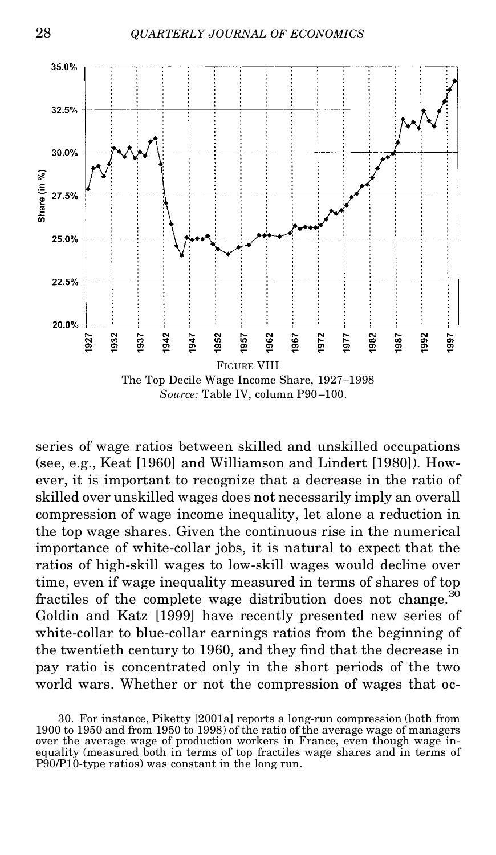

series of wage ratios between skilled and unskilled occupations (see, e.g., Keat [1960] and Williamson and Lindert [1980]). However, it is important to recognize that a decrease in the ratio of skilled over unskilled wages does not necessarily imply an overall compression of wage income inequality, let alone a reduction in the top wage shares. Given the continuous rise in the numerical importance of white-collar jobs, it is natural to expect that the ratios of high-skill wages to low-skill wages would decline over time, even if wage inequality measured in terms of shares of top fractiles of the complete wage distribution does not change. $30$ Goldin and Katz [1999] have recently presented new series of white-collar to blue-collar earnings ratios from the beginning of the twentieth century to 1960, and they find that the decrease in pay ratio is concentrated only in the short periods of the two world wars. Whether or not the compression of wages that oc-

<sup>30.</sup> For instance, Piketty [2001a] reports a long-run compression (both from over the average wage of production workers in France, even though wage inequality (measured both in terms of top fractiles wage shares and in terms of P90/P10-type ratios) was constant in the long run.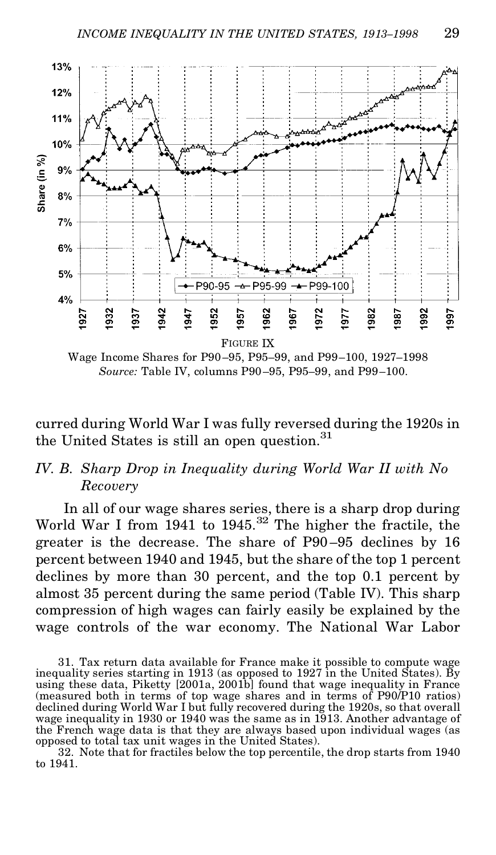

Wage Income Shares for P90–95, P95–99, and P99–100, 1927–1998 *Source:* Table IV, columns P90–95, P95–99, and P99–100.

curred during World War I was fully reversed during the 1920s in the United States is still an open question.<sup>31</sup>

#### *IV. B. Sharp Drop in Inequality during World War II with No Recovery*

In all of our wage shares series, there is a sharp drop during World War I from 1941 to 1945.<sup>32</sup> The higher the fractile, the greater is the decrease. The share of P90 –95 declines by 16 percent between 1940 and 1945, but the share of the top 1 percent declines by more than 30 percent, and the top 0.1 percent by almost 35 percent during the same period (Table IV). This sharp compression of high wages can fairly easily be explained by the wage controls of the war economy. The National War Labor

32. Note that for fractiles below the top percentile, the drop starts from 1940 to 1941.

<sup>31.</sup> Tax return data available for France make it possible to compute wage inequality series starting in 1913 (as opposed to 1927 in the United States). By using these data, Piketty [2001a, 2001b] found that wage inequality in France (measured both in terms of top wage shares and in terms of P90/P10 ratios) declined during World War I but fully recovered during the 1920s, so that overall wage inequality in 1930 or 1940 was the same as in 1913. Another advantage of the French wage data is that they are always based upon individual wages (as opposed to total tax unit wages in the United States).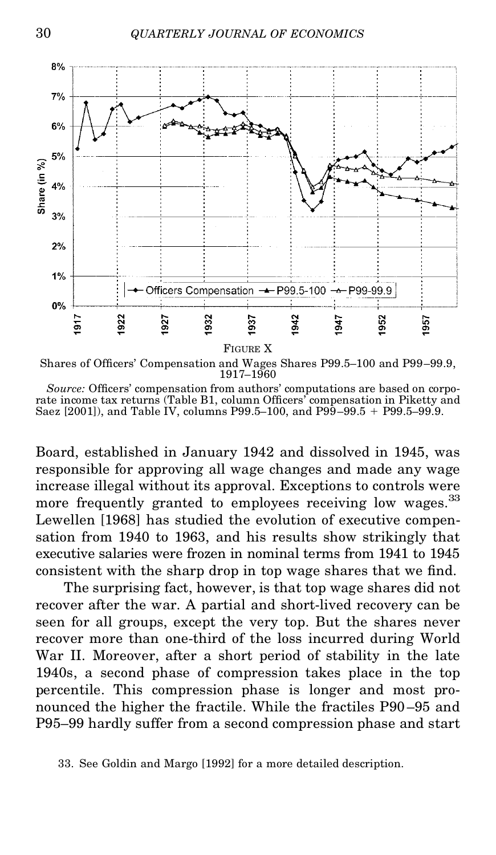



*Source:* Officers' compensation from authors' computations are based on corporate income tax returns (Table B1, column Officers' compensation in Piketty and Saez  $[2001]$ , and Table IV, columns P99.5–100, and P99–99.5 + P99.5–99.9.

Board, established in January 1942 and dissolved in 1945, was responsible for approving all wage changes and made any wage increase illegal without its approval. Exceptions to controls were more frequently granted to employees receiving low wages.<sup>33</sup> Lewellen [1968] has studied the evolution of executive compensation from 1940 to 1963, and his results show strikingly that executive salaries were frozen in nominal terms from 1941 to 1945 consistent with the sharp drop in top wage shares that we find.

The surprising fact, however, is that top wage shares did not recover after the war. A partial and short-lived recovery can be seen for all groups, except the very top. But the shares never recover more than one-third of the loss incurred during World War II. Moreover, after a short period of stability in the late 1940s, a second phase of compression takes place in the top percentile. This compression phase is longer and most pronounced the higher the fractile. While the fractiles P90 –95 and P95–99 hardly suffer from a second compression phase and start

<sup>33.</sup> See Goldin and Margo [1992] for a more detailed description.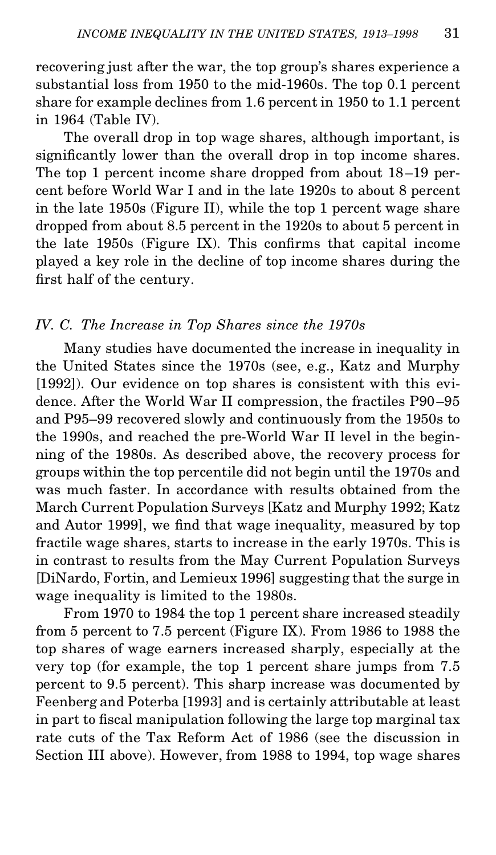recovering just after the war, the top group's shares experience a substantial loss from 1950 to the mid-1960s. The top 0.1 percent share for example declines from 1.6 percent in 1950 to 1.1 percent in 1964 (Table IV).

The overall drop in top wage shares, although important, is significantly lower than the overall drop in top income shares. The top 1 percent income share dropped from about 18–19 percent before World War I and in the late 1920s to about 8 percent in the late 1950s (Figure II), while the top 1 percent wage share dropped from about 8.5 percent in the 1920s to about 5 percent in the late  $1950s$  (Figure IX). This confirms that capital income played a key role in the decline of top income shares during the first half of the century.

#### *IV. C. The Increase in Top Shares since the 1970s*

Many studies have documented the increase in inequality in the United States since the 1970s (see, e.g., Katz and Murphy [1992]). Our evidence on top shares is consistent with this evidence. After the World War II compression, the fractiles P90–95 and P95–99 recovered slowly and continuously from the 1950s to the 1990s, and reached the pre-World War II level in the beginning of the 1980s. As described above, the recovery process for groups within the top percentile did not begin until the 1970s and was much faster. In accordance with results obtained from the March Current Population Surveys [Katz and Murphy 1992; Katz and Autor 1999], we find that wage inequality, measured by top fractile wage shares, starts to increase in the early 1970s. This is in contrast to results from the May Current Population Surveys [DiNardo, Fortin, and Lemieux 1996] suggesting that the surge in wage inequality is limited to the 1980s.

From 1970 to 1984 the top 1 percent share increased steadily from 5 percent to 7.5 percent (Figure IX). From 1986 to 1988 the top shares of wage earners increased sharply, especially at the very top (for example, the top 1 percent share jumps from 7.5 percent to 9.5 percent). This sharp increase was documented by Feenberg and Poterba [1993] and is certainly attributable at least in part to fiscal manipulation following the large top marginal tax rate cuts of the Tax Reform Act of 1986 (see the discussion in Section III above). However, from 1988 to 1994, top wage shares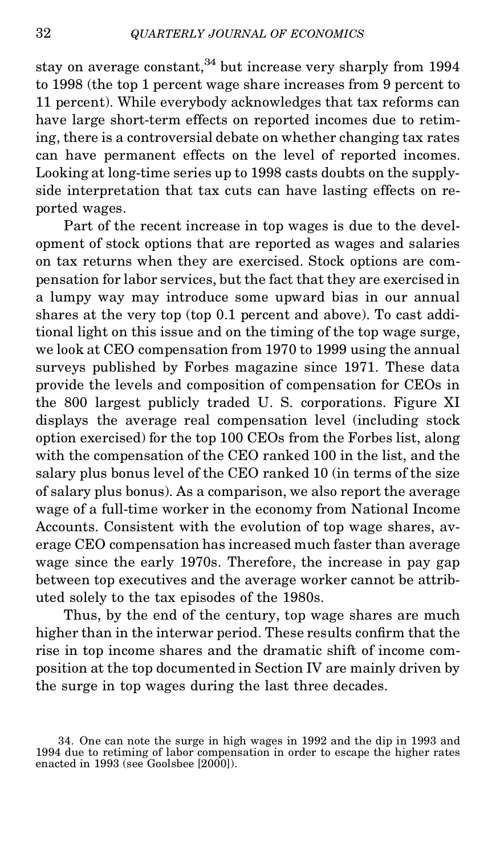stay on average constant,  $34$  but increase very sharply from 1994 to 1998 (the top 1 percent wage share increases from 9 percent to 11 percent). While everybody acknowledges that tax reforms can have large short-term effects on reported incomes due to retiming, there is a controversial debate on whether changing tax rates can have permanent effects on the level of reported incomes. Looking at long-time series up to 1998 casts doubts on the supplyside interpretation that tax cuts can have lasting effects on reported wages.

Part of the recent increase in top wages is due to the development of stock options that are reported as wages and salaries on tax returns when they are exercised. Stock options are compensation for labor services, but the fact that they are exercised in a lumpy way may introduce some upward bias in our annual shares at the very top (top 0.1 percent and above). To cast additional light on this issue and on the timing of the top wage surge, we look at CEO compensation from 1970 to 1999 using the annual surveys published by Forbes magazine since 1971. These data provide the levels and composition of compensation for CEOs in the 800 largest publicly traded U. S. corporations. Figure XI displays the average real compensation level (including stock option exercised) for the top 100 CEOs from the Forbes list, along with the compensation of the CEO ranked 100 in the list, and the salary plus bonus level of the CEO ranked 10 (in terms of the size of salary plus bonus). As a comparison, we also report the average wage of a full-time worker in the economy from National Income Accounts. Consistent with the evolution of top wage shares, average CEO compensation has increased much faster than average wage since the early 1970s. Therefore, the increase in pay gap between top executives and the average worker cannot be attributed solely to the tax episodes of the 1980s.

Thus, by the end of the century, top wage shares are much higher than in the interwar period. These results confirm that the rise in top income shares and the dramatic shift of income composition at the top documented in Section IV are mainly driven by the surge in top wages during the last three decades.

<sup>34.</sup> One can note the surge in high wages in 1992 and the dip in 1993 and 1994 due to retiming of labor compensation in order to escape the higher rates enacted in 1993 (see Goolsbee  $[2000]$ ).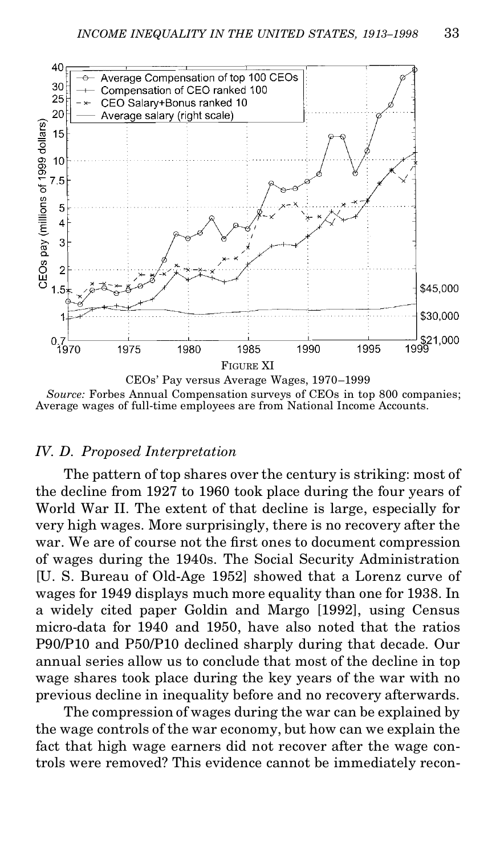

*Source:* Forbes Annual Compensation surveys of CEOs in top 800 companies; Average wages of full-time employees are from National Income Accounts.

#### *IV. D. Proposed Interpretation*

The pattern of top shares over the century is striking: most of the decline from 1927 to 1960 took place during the four years of World War II. The extent of that decline is large, especially for very high wages. More surprisingly, there is no recovery after the war. We are of course not the first ones to document compression of wages during the 1940s. The Social Security Administration [U. S. Bureau of Old-Age 1952] showed that a Lorenz curve of wages for 1949 displays much more equality than one for 1938. In a widely cited paper Goldin and Margo [1992], using Census micro-data for 1940 and 1950, have also noted that the ratios P90/P10 and P50/P10 declined sharply during that decade. Our annual series allow us to conclude that most of the decline in top wage shares took place during the key years of the war with no previous decline in inequality before and no recovery afterwards.

The compression of wages during the war can be explained by the wage controls of the war economy, but how can we explain the fact that high wage earners did not recover after the wage controls were removed? This evidence cannot be immediately recon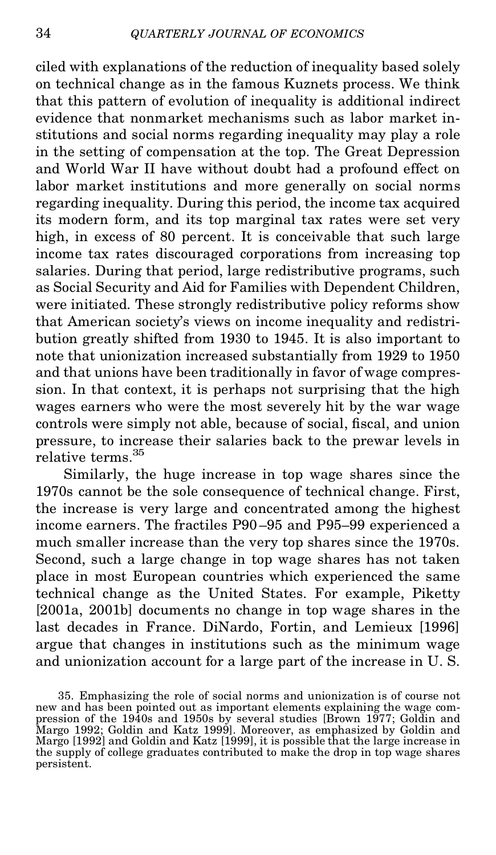ciled with explanations of the reduction of inequality based solely on technical change as in the famous Kuznets process. We think that this pattern of evolution of inequality is additional indirect evidence that nonmarket mechanisms such as labor market institutions and social norms regarding inequality may play a role in the setting of compensation at the top. The Great Depression and World War II have without doubt had a profound effect on labor market institutions and more generally on social norms regarding inequality. During this period, the income tax acquired its modern form, and its top marginal tax rates were set very high, in excess of 80 percent. It is conceivable that such large income tax rates discouraged corporations from increasing top salaries. During that period, large redistributive programs, such as Social Security and Aid for Families with Dependent Children, were initiated. These strongly redistributive policy reforms show that American society's views on income inequality and redistribution greatly shifted from 1930 to 1945. It is also important to note that unionization increased substantially from 1929 to 1950 and that unions have been traditionally in favor of wage compression. In that context, it is perhaps not surprising that the high wages earners who were the most severely hit by the war wage controls were simply not able, because of social, fiscal, and union pressure, to increase their salaries back to the prewar levels in relative terms.<sup>35</sup>

Similarly, the huge increase in top wage shares since the 1970s cannot be the sole consequence of technical change. First, the increase is very large and concentrated among the highest income earners. The fractiles P90 –95 and P95–99 experienced a much smaller increase than the very top shares since the 1970s. Second, such a large change in top wage shares has not taken place in most European countries which experienced the same technical change as the United States. For example, Piketty [2001a, 2001b] documents no change in top wage shares in the last decades in France. DiNardo, Fortin, and Lemieux [1996] argue that changes in institutions such as the minimum wage and unionization account for a large part of the increase in U. S.

<sup>35.</sup> Emphasizing the role of social norms and unionization is of course not new and has been pointed out as important elements explaining the wage com- pression of the 1940s and 1950s by several studies [Brown 1977; Goldin and Margo 1992; Goldin and Katz 1999]. Moreover, as emphasized by Goldin and Margo [1992] and Goldin and Katz [1999], it is possible that the large increase in the supply of college graduates contributed to make the drop in top wage shares persistent.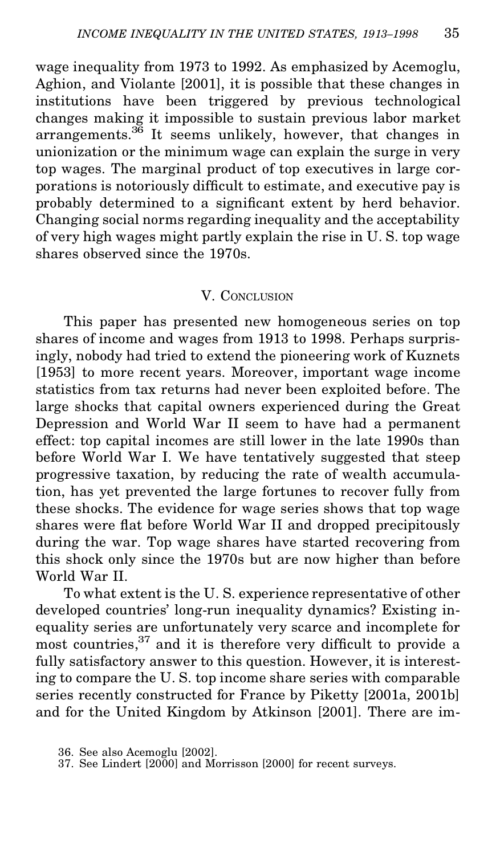wage inequality from 1973 to 1992. As emphasized by Acemoglu, Aghion, and Violante [2001], it is possible that these changes in institutions have been triggered by previous technological changes making it impossible to sustain previous labor market  $\arctan$  arrangements.<sup>36</sup> It seems unlikely, however, that changes in unionization or the minimum wage can explain the surge in very top wages. The marginal product of top executives in large corporations is notoriously difficult to estimate, and executive pay is probably determined to a signicant extent by herd behavior. Changing social norms regarding inequality and the acceptability of very high wages might partly explain the rise in U. S. top wage shares observed since the 1970s.

#### V. CONCLUSION

This paper has presented new homogeneous series on top shares of income and wages from 1913 to 1998. Perhaps surprisingly, nobody had tried to extend the pioneering work of Kuznets [1953] to more recent years. Moreover, important wage income statistics from tax returns had never been exploited before. The large shocks that capital owners experienced during the Great Depression and World War II seem to have had a permanent effect: top capital incomes are still lower in the late 1990s than before World War I. We have tentatively suggested that steep progressive taxation, by reducing the rate of wealth accumulation, has yet prevented the large fortunes to recover fully from these shocks. The evidence for wage series shows that top wage shares were flat before World War II and dropped precipitously during the war. Top wage shares have started recovering from this shock only since the 1970s but are now higher than before World War II.

To what extent is the U. S. experience representative of other developed countries' long-run inequality dynamics? Existing inequality series are unfortunately very scarce and incomplete for most countries, $37$  and it is therefore very difficult to provide a fully satisfactory answer to this question. However, it is interesting to compare the U. S. top income share series with comparable series recently constructed for France by Piketty [2001a, 2001b] and for the United Kingdom by Atkinson [2001]. There are im-

<sup>36.</sup> See also Acemoglu [2002].

<sup>37.</sup> See Lindert [2000] and Morrisson [2000] for recent surveys.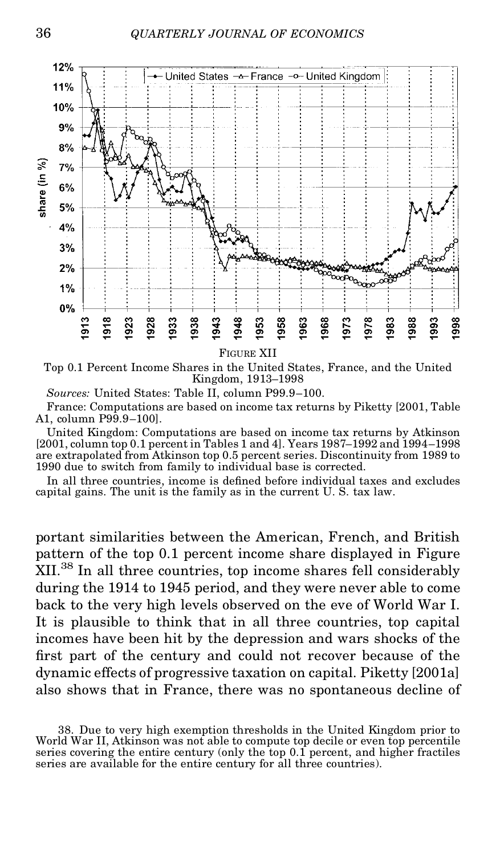

Top 0.1 Percent Income Shares in the United States, France, and the United Kingdom, 1913–1998

*Sources:* United States: Table II, column P99.9–100.

France: Computations are based on income tax returns by Piketty [2001, Table A1, column P99.9–100].

United Kingdom: Computations are based on income tax returns by Atkinson [2001, column top 0.1 percent in Tables 1 and 4]. Years 1987–1992 and 1994–1998 are extrapolated from Atkinson top 0.5 percent series. Discontinuity from 1989 to 1990 due to switch from family to individual base is corrected.

In all three countries, income is defined before individual taxes and excludes capital gains. The unit is the family as in the current U. S. tax law.

portant similarities between the American, French, and British pattern of the top 0.1 percent income share displayed in Figure XII.<sup>38</sup> In all three countries, top income shares fell considerably during the 1914 to 1945 period, and they were never able to come back to the very high levels observed on the eve of World War I. It is plausible to think that in all three countries, top capital incomes have been hit by the depression and wars shocks of the first part of the century and could not recover because of the dynamic effects of progressive taxation on capital. Piketty [2001a] also shows that in France, there was no spontaneous decline of

<sup>38.</sup> Due to very high exemption thresholds in the United Kingdom prior to World War II, Atkinson was not able to compute top decile or even top percentile series covering the entire century (only the top 0.1 percent, and higher fractiles series are available for the entire century for all three countries).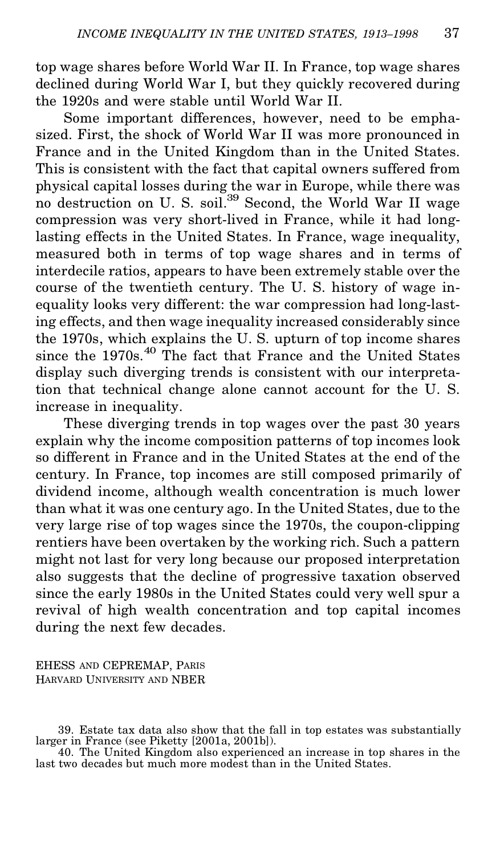top wage shares before World War II. In France, top wage shares declined during World War I, but they quickly recovered during the 1920s and were stable until World War II.

Some important differences, however, need to be emphasized. First, the shock of World War II was more pronounced in France and in the United Kingdom than in the United States. This is consistent with the fact that capital owners suffered from physical capital losses during the war in Europe, while there was no destruction on U. S. soil.<sup>39</sup> Second, the World War II wage compression was very short-lived in France, while it had longlasting effects in the United States. In France, wage inequality, measured both in terms of top wage shares and in terms of interdecile ratios, appears to have been extremely stable over the course of the twentieth century. The U. S. history of wage inequality looks very different: the war compression had long-lasting effects, and then wage inequality increased considerably since the 1970s, which explains the U. S. upturn of top income shares since the 1970s.<sup>40</sup> The fact that France and the United States display such diverging trends is consistent with our interpretation that technical change alone cannot account for the U. S. increase in inequality.

These diverging trends in top wages over the past 30 years explain why the income composition patterns of top incomes look so different in France and in the United States at the end of the century. In France, top incomes are still composed primarily of dividend income, although wealth concentration is much lower than what it was one century ago. In the United States, due to the very large rise of top wages since the 1970s, the coupon-clipping rentiers have been overtaken by the working rich. Such a pattern might not last for very long because our proposed interpretation also suggests that the decline of progressive taxation observed since the early 1980s in the United States could very well spur a revival of high wealth concentration and top capital incomes during the next few decades.

EHESS AND CEPREMAP, PARIS HARVARD UNIVERSITY AND NBER

<sup>39.</sup> Estate tax data also show that the fall in top estates was substantially larger in France (see Piketty [2001a, 2001b]).

<sup>40.</sup> The United Kingdom also experienced an increase in top shares in the last two decades but much more modest than in the United States.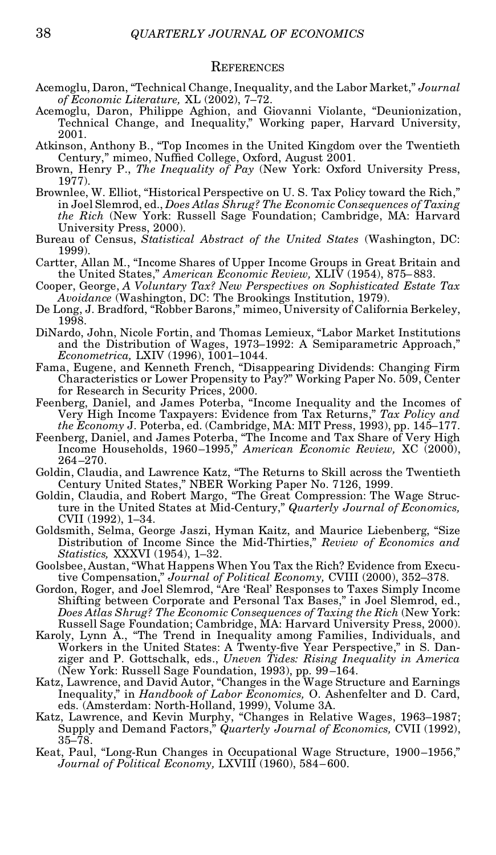#### **REFERENCES**

- Acemoglu, Daron, "Technical Change, Inequality, and the Labor Market," *Journal of Economic Literature,* XL (2002), 7–72.
- Acemoglu, Daron, Philippe Aghion, and Giovanni Violante, "Deunionization, Technical Change, and Inequality," Working paper, Harvard University, 2001.
- Atkinson, Anthony B., "Top Incomes in the United Kingdom over the Twentieth Century," mimeo, Nuffied College, Oxford, August  $2001$ .
- Brown, Henry P., *The Inequality of Pay* (New York: Oxford University Press, 1977).
- Brownlee, W. Elliot, "Historical Perspective on U. S. Tax Policy toward the Rich," in Joel Slemrod, ed., *Does Atlas Shrug? The Economic Consequences of Taxing the Rich* (New York: Russell Sage Foundation; Cambridge, MA: Harvard University Press, 2000).
- Bureau of Census, *Statistical Abstract of the United States* (Washington, DC: 1999).
- Cartter, Allan M., "Income Shares of Upper Income Groups in Great Britain and the United States," *American Economic Review,* XLIV (1954), 875– 883.
- Cooper, George, *A Voluntary Tax? New Perspectives on Sophisticated Estate Tax Avoidance* (Washington, DC: The Brookings Institution, 1979).
- De Long, J. Bradford, "Robber Barons," mimeo, University of California Berkeley, 1998.
- DiNardo, John, Nicole Fortin, and Thomas Lemieux, "Labor Market Institutions and the Distribution of Wages, 1973–1992: A Semiparametric Approach," *Econometrica,* LXIV (1996), 1001–1044.
- Fama, Eugene, and Kenneth French, "Disappearing Dividends: Changing Firm Characteristics or Lower Propensity to Pay?" Working Paper No. 509, Center for Research in Security Prices, 2000.
- Feenberg, Daniel, and James Poterba, "Income Inequality and the Incomes of Very High Income Taxpayers: Evidence from Tax Returns," *Tax Policy and the Economy* J. Poterba, ed. (Cambridge, MA: MIT Press, 1993), pp. 145–177.
- Feenberg, Daniel, and James Poterba, "The Income and Tax Share of Very High Income Households, 1960–1995," *American Economic Review,* XC (2000), 264–270.
- Goldin, Claudia, and Lawrence Katz, "The Returns to Skill across the Twentieth Century United States," NBER Working Paper No. 7126, 1999.
- Goldin, Claudia, and Robert Margo, "The Great Compression: The Wage Structure in the United States at Mid-Century," *Quarterly Journal of Economics,* CVII (1992), 1–34.
- Goldsmith, Selma, George Jaszi, Hyman Kaitz, and Maurice Liebenberg, "Size Distribution of Income Since the Mid-Thirties," *Review of Economics and Statistics,* XXXVI (1954), 1–32.
- Goolsbee, Austan, "What Happens When You Tax the Rich? Evidence from Executive Compensation," *Journal of Political Economy,* CVIII (2000), 352–378.
- Gordon, Roger, and Joel Slemrod, "Are 'Real' Responses to Taxes Simply Income Shifting between Corporate and Personal Tax Bases," in Joel Slemrod, ed., *Does Atlas Shrug? The Economic Consequences of Taxing the Rich* (New York: Russell Sage Foundation; Cambridge, MA: Harvard University Press, 2000).
- Karoly, Lynn A., "The Trend in Inequality among Families, Individuals, and Workers in the United States: A Twenty-five Year Perspective," in S. Danziger and P. Gottschalk, eds., *Uneven Tides: Rising Inequality in America* (New York: Russell Sage Foundation, 1993), pp. 99–164.
- Katz, Lawrence, and David Autor, "Changes in the Wage Structure and Earnings Inequality," in *Handbook of Labor Economics,* O. Ashenfelter and D. Card, eds. (Amsterdam: North-Holland, 1999), Volume 3A.
- Katz, Lawrence, and Kevin Murphy, "Changes in Relative Wages, 1963–1987; Supply and Demand Factors," *Quarterly Journal of Economics,* CVII (1992), 35–78.
- Keat, Paul, "Long-Run Changes in Occupational Wage Structure, 1900–1956," *Journal of Political Economy,* LXVIII (1960), 584– 600.